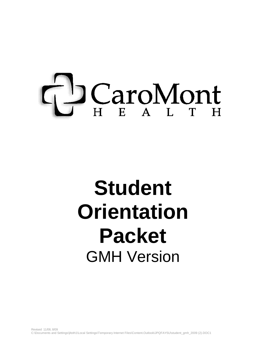# D CaroMont

# **Student Orientation Packet** GMH Version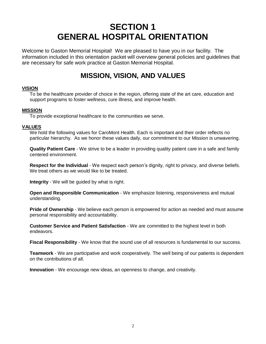# **SECTION 1 GENERAL HOSPITAL ORIENTATION**

Welcome to Gaston Memorial Hospital! We are pleased to have you in our facility. The information included in this orientation packet will overview general policies and guidelines that are necessary for safe work practice at Gaston Memorial Hospital.

# **MISSION, VISION, AND VALUES**

### **VISION**

To be the healthcare provider of choice in the region, offering state of the art care, education and support programs to foster wellness, cure illness, and improve health.

### **MISSION**

To provide exceptional healthcare to the communities we serve.

### **VALUES**

We hold the following values for CaroMont Health. Each is important and their order reflects no particular hierarchy. As we honor these values daily, our commitment to our Mission is unwavering.

**Quality Patient Care** - We strive to be a leader in providing quality patient care in a safe and family centered environment.

**Respect for the Individual** - We respect each person's dignity, right to privacy, and diverse beliefs. We treat others as we would like to be treated.

**Integrity** - We will be guided by what is right.

**Open and Responsible Communication** - We emphasize listening, responsiveness and mutual understanding.

**Pride of Ownership** - We believe each person is empowered for action as needed and must assume personal responsibility and accountability.

**Customer Service and Patient Satisfaction** - We are committed to the highest level in both endeavors.

**Fiscal Responsibility** - We know that the sound use of all resources is fundamental to our success.

**Teamwork** - We are participative and work cooperatively. The well being of our patients is dependent on the contributions of all.

**Innovation** - We encourage new ideas, an openness to change, and creativity.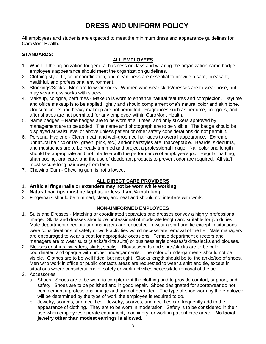# **DRESS AND UNIFORM POLICY**

All employees and students are expected to meet the minimum dress and appearance guidelines for CaroMont Health.

### **STANDARDS:**

### **ALL EMPLOYEES**

- 1. When in the organization for general business or class and wearing the organization name badge, employee's appearance should meet the organization guidelines.
- 2. Clothing style, fit, color coordination, and cleanliness are essential to provide a safe, pleasant, healthful, and professional environment.
- 3. Stockings/Socks Men are to wear socks. Women who wear skirts/dresses are to wear hose, but may wear dress socks with slacks.
- 4. Makeup, cologne, perfumes Makeup is worn to enhance natural features and complexion. Daytime and office makeup is to be applied lightly and should complement one's natural color and skin tone. Unusual colors and heavy makeup are not permitted. Fragrances such as perfume, colognes, and after shaves are not permitted for any employee within CaroMont Health.
- 5. Name badges Name badges are to be worn at all times, and only stickers approved by management are to be added. The name and photograph are to be visible. The badge should be displayed at waist level or above unless patient or other safety considerations do not permit it.
- 6. Personal Hygiene Clean, neat, and well-groomed hair adds to overall appearance. Extreme unnatural hair color (ex. green, pink, etc.) and/or hairstyles are unacceptable. Beards, sideburns, and mustaches are to be neatly trimmed and project a professional image. Nail color and length should be appropriate and not interfere with the performance of employee's job. Regular bathing, shampooing, oral care, and the use of deodorant products to prevent odor are required. All staff must secure long hair away from face.
- 7. Chewing Gum Chewing gum is not allowed.

### **ALL DIRECT CARE PROVIDERS**

- 1. **Artificial fingernails or extenders may not be worn while working.**
- 2. **Natural nail tips must be kept at, or less than, ¼ inch long.**
- 3. Fingernails should be trimmed, clean, and neat and should not interfere with work.

### **NON-UNIFORMED EMPLOYEES**

- 1. Suits and Dresses Matching or coordinated separates and dresses convey a highly professional image. Skirts and dresses should be professional of moderate length and suitable for job duties. Male department directors and managers are requested to wear a shirt and tie except in situations were considerations of safety or work activities would necessitate removal of the tie. Male managers are encouraged to wear a coat for appropriate occasions. Female department directors and managers are to wear suits (slacks/skirts suits) or business style dresses/skirts/slacks and blouses.
- 2. Blouses or shirts, sweaters, skirts, slacks Blouses/shirts and skirts/slacks are to be colorcoordinated and opaque with proper undergarments. The color of undergarments should not be visible. Clothes are to be well fitted, but not tight. Slacks length should be to the ankle/top of shoes. Men who work in office or public contacts areas are requested to wear a shirt and tie, except in situations where considerations of safety or work activities necessitate removal of the tie.
- 3. Accessories
	- a. Shoes Shoes are to be worn to complement the clothing and to provide comfort, support, and safety. Shoes are to be polished and in good repair. Shoes designated for sportswear do not complement a professional image and are not permitted. The type of shoe worn by the employee will be determined by the type of work the employee is required to do.
	- b. Jewelry, scarves, and neckties Jewelry, scarves, and neckties can frequently add to the appearance of clothing. They are to be worn in moderation. Safety is to be considered in their use when employees operate equipment, machinery, or work in patient care areas. **No facial jewelry other than modest earrings is allowed.**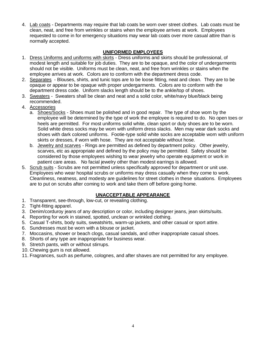4. Lab coats - Departments may require that lab coats be worn over street clothes. Lab coats must be clean, neat, and free from wrinkles or stains when the employee arrives at work. Employees requested to come in for emergency situations may wear lab coats over more casual attire than is normally accepted.

### **UNIFORMED EMPLOYEES**

- 1. Dress Uniforms and uniforms with skirts Dress uniforms and skirts should be professional, of modest length and suitable for job duties. They are to be opaque, and the color of undergarments should not be visible. Uniforms must be clean, neat, and free from wrinkles or stains when the employee arrives at work. Colors are to conform with the department dress code.
- 2. Separates Blouses, shirts, and tunic tops are to be loose fitting, neat and clean. They are to be opaque or appear to be opaque with proper undergarments. Colors are to conform with the department dress code. Uniform slacks length should be to the ankle/top of shoes.
- 3. Sweaters Sweaters shall be clean and neat and a solid color, white/navy blue/black being recommended.
- 4. Accessories
	- a. Shoes/Socks Shoes must be polished and in good repair. The type of shoe worn by the employee will be determined by the type of work the employee is required to do. No open toes or heels are permitted. For most uniforms solid white, clean sport or duty shoes are to be worn. Solid white dress socks may be worn with uniform dress slacks. Men may wear dark socks and shoes with dark colored uniforms. Footie-type solid white socks are acceptable worn with uniform skirts or dresses, if worn with hose. They are not acceptable without hose.
	- b. Jewelry and scarves Rings are permitted as defined by department policy. Other jewelry, scarves, etc as appropriate and defined by the policy may be permitted. Safety should be considered by those employees wishing to wear jewelry who operate equipment or work in patient care areas. No facial jewelry other than modest earrings is allowed.
- 5. Scrub suits Scrubs are not permitted unless specifically approved for department or unit use. Employees who wear hospital scrubs or uniforms may dress casually when they come to work. Cleanliness, neatness, and modesty are guidelines for street clothes in these situations. Employees are to put on scrubs after coming to work and take them off before going home.

### **UNACCEPTABLE APPEARANCE**

- 1. Transparent, see-through, low-cut, or revealing clothing.
- 2. Tight-fitting apparel.
- 3. Denim/corduroy jeans of any description or color, including designer jeans, jean skirts/suits.
- 4. Reporting for work in stained, spotted, unclean or wrinkled clothing.
- 5. Casual T-shirts, body suits, sweatshirts, warm-up jackets, and other casual or sport attire.
- 6. Sundresses must be worn with a blouse or jacket.
- 7. Moccasins, shower or beach clogs, casual sandals, and other inappropriate casual shoes.
- 8. Shorts of any type are inappropriate for business wear.
- 9. Stretch pants, with or without stirrups.
- 10. Chewing gum is not allowed.
- 11. Fragrances, such as perfume, colognes, and after shaves are not permitted for any employee.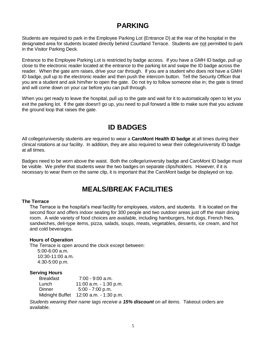# **PARKING**

Students are required to park in the Employee Parking Lot (Entrance D) at the rear of the hospital in the designated area for students located directly behind Courtland Terrace. Students are not permitted to park in the Visitor Parking Deck.

Entrance to the Employee Parking Lot is restricted by badge access. If you have a GMH ID badge, pull up close to the electronic reader located at the entrance to the parking lot and swipe the ID badge across the reader. When the gate arm raises, drive your car through. If you are a student who does not have a GMH ID badge, pull up to the electronic reader and then push the intercom button. Tell the Security Officer that you are a student and ask him/her to open the gate. Do not try to follow someone else in; the gate is timed and will come down on your car before you can pull through.

When you get ready to leave the hospital, pull up to the gate and wait for it to automatically open to let you exit the parking lot. If the gate doesn't go up, you need to pull forward a little to make sure that you activate the ground loop that raises the gate.

# **ID BADGES**

All college/university students are required to wear a **CaroMont Health ID badge** at all times during their clinical rotations at our facility. In addition, they are also required to wear their college/university ID badge at all times.

Badges need to be worn above the waist. Both the college/university badge and CaroMont ID badge must be visible. We prefer that students wear the two badges on separate clips/holders. However, if it is necessary to wear them on the same clip, it is important that the CaroMont badge be displayed on top.

# **MEALS/BREAK FACILITIES**

### **The Terrace**

The Terrace is the hospital's meal facility for employees, visitors, and students. It is located on the second floor and offers indoor seating for 300 people and two outdoor areas just off the main dining room. A wide variety of food choices are available, including hamburgers, hot dogs, French fries, sandwiches, deli-type items, pizza, salads, soups, meats, vegetables, desserts, ice cream, and hot and cold beverages.

### **Hours of Operation**

The Terrace is open around the clock except between:

5:00-6:00 a.m. 10:30-11:00 a.m. 4:30-5:00 p.m.

### **Serving Hours**

| <b>Breakfast</b> | $7:00 - 9:00$ a.m.      |
|------------------|-------------------------|
| Lunch            | 11:00 a.m. $-1:30$ p.m. |
| Dinner           | $5:00 - 7:00$ p.m.      |
| Midnight Buffet  | 12:00 a.m. - 1:30 p.m.  |

*Students wearing their name tags receive a 15% discount on all items.* Takeout orders are available.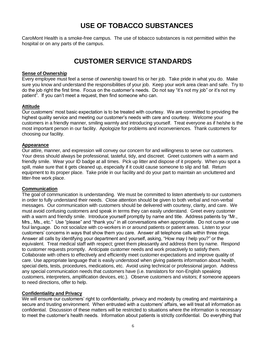# **USE OF TOBACCO SUBSTANCES**

CaroMont Health is a smoke-free campus. The use of tobacco substances is not permitted within the hospital or on any parts of the campus.

# **CUSTOMER SERVICE STANDARDS**

### **Sense of Ownership**

Every employee must feel a sense of ownership toward his or her job. Take pride in what you do. Make sure you know and understand the responsibilities of your job. Keep your work area clean and safe. Try to do the job right the first time. Focus on the customer's needs. Do not say "it's not my job" or it's not my patient". If you can't meet a request, then find someone who can.

### **Attitude**

Our customers' most basic expectation is to be treated with courtesy. We are committed to providing the highest quality service and meeting our customer's needs with care and courtesy. Welcome your customers in a friendly manner, smiling warmly and introducing yourself. Treat everyone as if he/she is the most important person in our facility. Apologize for problems and inconveniences. Thank customers for choosing our facility.

### **Appearance**

Our attire, manner, and expression will convey our concern for and willingness to serve our customers. Your dress should always be professional, tasteful, tidy, and discreet. Greet customers with a warm and friendly smile. Wear your ID badge at all times. Pick up litter and dispose of it properly. When you spot a spill, make sure that it gets cleaned up, especially if it could cause someone to slip and fall. Return equipment to its proper place. Take pride in our facility and do your part to maintain an uncluttered and litter-free work place.

### **Communication**

The goal of communication is understanding. We must be committed to listen attentively to our customers in order to fully understand their needs. Close attention should be given to both verbal and non-verbal messages. Our communication with customers should be delivered with courtesy, clarity, and care. We must avoid confusing customers and speak in terms they can easily understand. Greet every customer with a warm and friendly smile. Introduce yourself promptly by name and title. Address patients by "Mr., Mrs., Ms., etc." Use "please" and "thank you" in all conversations when appropriate. Do not curse or use foul language. Do not socialize with co-workers in or around patients or patient areas. Listen to your customers' concerns in ways that show them you care. Answer all telephone calls within three rings. Answer all calls by identifying your department and yourself, asking, "How may I help you?" or the equivalent. Treat medical staff with respect; greet them pleasantly and address them by name. Respond to customer requests promptly. Anticipate customer needs and work proactively to satisfy them. Collaborate with others to effectively and efficiently meet customer expectations and improve quality of care. Use appropriate language that is easily understood when giving patients information about health, special diets, tests, procedures, medications, etc. Avoid using technical or professional jargon. Address any special communication needs that customers have (i.e. translators for non-English speaking customers, interpreters, amplification devices, etc.). Observe customers and visitors; if someone appears to need directions, offer to help.

### **Confidentiality and Privacy**

We will ensure our customers' right to confidentiality, privacy and modesty by creating and maintaining a secure and trusting environment. When entrusted with a customers' affairs, we will treat all information as confidential. Discussion of these matters will be restricted to situations where the information is necessary to meet the customer's health needs. Information about patients is strictly confidential. Do everything that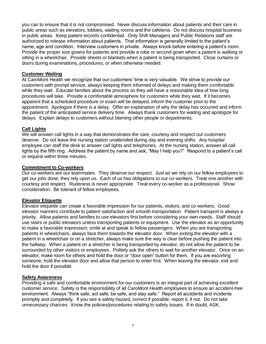you can to ensure that it is not compromised. Never discuss information about patients and their care in public areas such as elevators, lobbies, waiting rooms and the cafeteria. Do not discuss hospital business in public areas. Keep patient records confidential. Only Shift Managers and Public Relations staff are authorized to release information about patients. That information is generally limited to the patient's name, age and condition. Interview customers in private. Always knock before entering a patient's room. Provide the proper size gowns for patients and provide a robe or second gown when a patient is walking or sitting in a wheelchair. Provide sheets or blankets when a patient is being transported. Close curtains or doors during examinations, procedures, or when otherwise needed.

### **Customer Waiting**

At CaroMont Health we recognize that our customers' time is very valuable. We strive to provide our customers with prompt service, always keeping them informed of delays and making them comfortable while they wait. Educate families about the process so they will have a reasonable idea of how long procedures will take. Provide a comfortable atmosphere for customers while they wait. If it becomes apparent that a scheduled procedure or exam will be delayed, inform the customer prior to the appointment. Apologize if there is a delay. Offer an explanation of why the delay has occurred and inform the patient of the anticipated service delivery time. Always thank customers for waiting and apologize for delays. Explain delays to customers without blaming other people or departments.

### **Call Lights**

We will answer call lights in a way that demonstrates the care, courtesy and respect our customers deserve. Do not leave the nursing station unattended during day and evening shifts. Any hospital employee can staff the desk to answer call lights and telephones. At the nursing station, answer all call lights by the fifth ring. Address the patient by name and ask, "May I help you?" Respond to a patient's call or request within three minutes.

### **Commitment to Co-workers**

Our co-workers are our teammates. They deserve our respect. Just as we rely on our fellow employees to get our jobs done, they rely upon us. Each of us has obligations to our co-workers. Treat one another with courtesy and respect. Rudeness is never appropriate. Treat every co-worker as a professional. Show consideration. Be tolerant of fellow employees.

### **Elevator Etiquette**

Elevator etiquette can create a favorable impression for our patients, visitors, and co-workers. Good elevator manners contribute to patient satisfaction and smooth transportation. Patient transport is always a priority. Allow patients and families to use elevators first before considering your own needs. Staff should use stairs or public elevators unless transporting patients or equipment. Use the elevator as an opportunity to make a favorable impression; smile at and speak to fellow passengers. When you are transporting patients in wheelchairs, always face them towards the elevator door. When exiting the elevator with a patient in a wheelchair or on a stretcher, always make sure the way is clear before pushing the patient into the hallway. When a patient on a stretcher is being transported by elevator, do not allow the patient to be surrounded by other visitors or employees. Politely ask the others to wait for another elevator. Once on an elevator, make room for others and hold the door or "door open" button for them. If you are escorting someone, hold the elevator door and allow that person to enter first. When leaving the elevator, exit and hold the door if possible.

### **Safety Awareness**

Providing a safe and comfortable environment for our customers is an integral part of achieving excellent customer service. Safety is the responsibility of all CaroMont Health employees to ensure an accident-free environment. Always "think safe, act safe, be safe, and stay safe." Report all accidents and incidents promptly and completely. If you see a safety hazard, correct if possible; report it, if not. Do not take unnecessary chances. Know the policies/procedures relating to safety issues. If in doubt, ASK.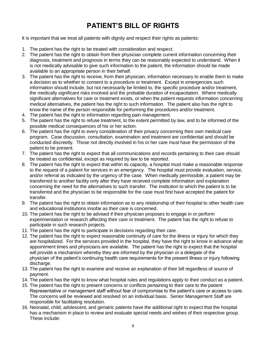# **PATIENT'S BILL OF RIGHTS**

It is important that we treat all patients with dignity and respect their rights as patients:

- 1. The patient has the right to be treated with consideration and respect.
- 2. The patient has the right to obtain from their physician complete current information concerning their diagnosis, treatment and prognosis in terms they can be reasonably expected to understand. When it is not medically advisable to give such information to the patient, the information should be made available to an appropriate person in their behalf.
- 3. The patient has the right to receive, from their physician, information necessary to enable them to make a decision as to whether to consent to a procedure or treatment. Except in emergencies such information should include, but not necessarily be limited to, the specific procedure and/or treatment, the medically significant risks involved and the probable duration of incapacitation. Where medically significant alternatives for care or treatment exists, or when the patient requests information concerning medical alternatives, the patient has the right to such information. The patient also has the right to know the name of the person responsible for performing the procedures and/or treatment.
- 4. The patient has the right to information regarding pain management.
- 5. The patient has the right to refuse treatment, to the extent permitted by law, and to be informed of the possible medical consequences of his or her action.
- 6. The patient has the right to every consideration of their privacy concerning their own medical care program. Case discussion, consultation, examination and treatment are confidential and should be conducted discreetly. Those not directly involved in his or her care must have the permission of the patient to be present.
- 7. The patient has the right to expect that all communications and records pertaining to their care should be treated as confidential, except as required by law to be reported.
- 8. The patient has the right to expect that within its capacity, a hospital must make a reasonable response to the request of a patient for services in an emergency. The hospital must provide evaluation, service, and/or referral as indicated by the urgency of the case. When medically permissible, a patient may be transferred to another facility only after they have received complete information and explanation concerning the need for the alternatives to such transfer. The institution to which the patient is to be transferred and the physician to be responsible for the case must first have accepted the patient for transfer.
- 9. The patient has the right to obtain information as to any relationship of their hospital to other health care and educational institutions insofar as their care is concerned.
- 10. The patient has the right to be advised if their physician proposes to engage in or perform experimentation or research affecting their care or treatment. The patient has the right to refuse to participate in such research projects.
- 11. The patient has the right to participate in decisions regarding their care.
- 12. The patient has the right to expect reasonable continuity of care for the illness or injury for which they are hospitalized. For the services provided in the hospital, they have the right to know in advance what appointment times and physicians are available. The patient has the right to expect that the hospital will provide a mechanism whereby they are informed by the physician or a delegate of the physician of the patient's continuing health care requirements for the present illness or injury following discharge.
- 13. The patient has the right to examine and receive an explanation of their bill regardless of source of payment.
- 14. The patient has the right to know what hospital rules and regulations apply to their conduct as a patient.
- 15. The patient has the right to present concerns or conflicts pertaining to their care to the patient Representative or management staff without fear of compromise to the patient's care or access to care. The concerns will be reviewed and resolved on an individual basis. Senior Management Staff are responsible for facilitating resolution.
- 16. Neonatal, child, adolescent, and geriatric patients have the additional right to expect that the hospital has a mechanism in place to review and evaluate special needs and wishes of their respective group. These include: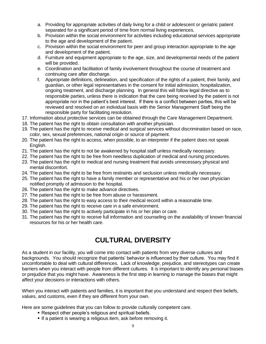- a. Providing for appropriate activities of daily living for a child or adolescent or geriatric patient separated for a significant period of time from normal living experiences.
- b. Provision within the social environment for activities including educational services appropriate to the age and development of the patient.
- c. Provision within the social environment for peer and group interaction appropriate to the age and development of the patient.
- d. Furniture and equipment appropriate to the age, size, and developmental needs of the patient will be provided.
- e. Coordination and facilitation of family involvement throughout the course of treatment and continuing care after discharge.
- f. Appropriate definitions, delineation, and specification of the rights of a patient, their family, and guardian, or other legal representatives in the consent for initial admission, hospitalization, ongoing treatment, and discharge planning. In general this will follow legal directive as to responsible parties, unless there is indication that the care being received by the patient is not appropriate nor in the patient's best interest. If there is a conflict between parties, this will be reviewed and resolved on an individual basis with the Senior Management Staff being the responsible party for facilitating resolution.
- 17. Information about protective services can be obtained through the Care Management Department.
- 18. The patient has the right to obtain consultation with another physician.
- 19. The patient has the right to receive medical and surgical services without discrimination based on race, color, sex, sexual preferences, national origin or source of payment.
- 20. The patient has the right to access, when possible, to an interpreter if the patient does not speak English.
- 21. The patient has the right to not be awakened by hospital staff unless medically necessary.
- 22. The patient has the right to be free from needless duplication of medical and nursing procedures.
- 23. The patient has the right to medical and nursing treatment that avoids unnecessary physical and mental discomfort.
- 24. The patient has the right to be free from restraints and seclusion unless medically necessary.
- 25. The patient has the right to have a family member or representative and his or her own physician notified promptly of admission to the hospital.
- 26. The patient has the right to make advance directives.
- 27. The patient has the right to be free from abuse or harassment.
- 28. The patient has the right to easy access to their medical record within a reasonable time.
- 29. The patient has the right to receive care in a safe environment.
- 30. The patient has the right to actively participate in his or her plan or care.
- 31. The patient has the right to receive full information and counseling on the availability of known financial resources for his or her health care.

# **CULTURAL DIVERSITY**

As a student in our facility, you will come into contact with patients from very diverse cultures and backgrounds. You should recognize that patients' behavior is influenced by their culture. You may find it uncomfortable to deal with cultural differences. Lack of knowledge, prejudice, and stereotypes can create barriers when you interact with people from different cultures. It is important to identify any personal biases or prejudice that you might have. Awareness is the first step in learning to manage the biases that might affect your decisions or interactions with others.

When you interact with patients and families, it is important that you understand and respect their beliefs, values, and customs, even if they are different from your own.

Here are some guidelines that you can follow to provide culturally competent care.

- Respect other people's religious and spiritual beliefs.
- If a patient is wearing a religious item, ask before removing it.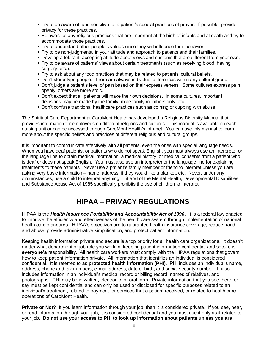- Try to be aware of, and sensitive to, a patient's special practices of prayer. If possible, provide privacy for these practices.
- Be aware of any religious practices that are important at the birth of infants and at death and try to accommodate those practices.
- Try to understand other people's values since they will influence their behavior.
- Try to be non-judgmental in your attitude and approach to patients and their families.
- Develop a tolerant, accepting attitude about views and customs that are different from your own.
- Try to be aware of patients' views about certain treatments (such as receiving blood, having surgery, etc.).
- Try to ask about any food practices that may be related to patients' cultural beliefs.
- Don't stereotype people. There are always individual differences within any cultural group.
- Don't judge a patient's level of pain based on their expressiveness. Some cultures express pain openly, others are more stoic.
- Don't expect that all patients will make their own decisions. In some cultures, important decisions may be made by the family, male family members only, etc.
- **Don't confuse traditional healthcare practices such as coining or cupping with abuse.**

The Spiritual Care Department at CaroMont Health has developed a Religious Diversity Manual that provides information for employees on different religions and cultures. This manual is available on each nursing unit or can be accessed through CaroMont Health's intranet. You can use this manual to learn more about the specific beliefs and practices of different religious and cultural groups.

It is important to communicate effectively with all patients, even the ones with special language needs. When you have deaf patients, or patients who do not speak English, you must always use an interpreter or the language line to obtain medical information, a medical history, or medical consents from a patient who is deaf or does not speak English. You must also use an interpreter or the language line for explaining treatments to these patients. Never use a patient's family member or friend to interpret unless you are asking very basic information – name, address, if they would like a blanket, etc. Never, under any circumstances, use a child to interpret anything! Title VI of the Mental Health, Developmental Disabilities and Substance Abuse Act of 1985 specifically prohibits the use of children to interpret.

# **HIPAA – PRIVACY REGULATIONS**

HIPAA is the *Health Insurance Portability and Accountability Act of 1996*. It is a federal law enacted to improve the efficiency and effectiveness of the health care system through implementation of national health care standards. HIPAA's objectives are to guarantee health insurance coverage, reduce fraud and abuse, provide administrative simplification, and protect patient information.

Keeping health information private and secure is a top priority for all health care organizations. It doesn't matter what department or job role you work in, keeping patient information confidential and secure is **everyone's** responsibility. All health care workers must comply with the HIPAA regulations that govern how to keep patient information private. All information that identifies an individual is considered confidential. It is referred to as **protected health information (PHI)**. PHI includes an individual's name, address, phone and fax numbers, e-mail address, date of birth, and social security number. It also includes information in an individual's medical record or billing record, names of relatives, and photographs. PHI may be in written, electronic, or oral form. Private information that you see, hear, or say must be kept confidential and can only be used or disclosed for specific purposes related to an individual's treatment, related to payment for services that a patient received, or related to health care operations of CaroMont Health.

**Private or Not?** If you learn information through your job, then it is considered private. If you see, hear, or read information through your job, it is considered confidential and you must use it only as if relates to your job. **Do not use your access to PHI to look up information about patients unless you are**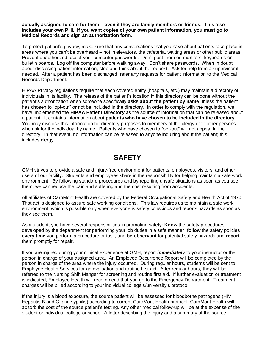**actually assigned to care for them – even if they are family members or friends. This also includes your own PHI. If you want copies of your own patient information, you must go to Medical Records and sign an authorization form.**

To protect patient's privacy, make sure that any conversations that you have about patients take place in areas where you can't be overheard – not in elevators, the cafeteria, waiting areas or other public areas. Prevent unauthorized use of your computer passwords. Don't post them on monitors, keyboards or bulletin boards. Log off the computer before walking away. Don't share passwords. When in doubt about disclosing patient information, stop and think about the request. Ask for help from a supervisor if needed. After a patient has been discharged, refer any requests for patient information to the Medical Records Department.

HIPAA Privacy regulations require that each covered entity (hospitals, etc.) may maintain a directory of individuals in its facility. The release of the patient's location in this directory can be done without the patient's authorization when someone specifically **asks about the patient by name** unless the patient has chosen to "opt-out" or not be included in the directory. In order to comply with the regulation, we have implemented the **HIPAA Patient Directory** as the source of information that can be released about a patient. It contains information about **patients who have chosen to be included in the directory**. You may disclose this information for directory purposes to members of the clergy or to other persons who ask for the individual by name. Patients who have chosen to "opt-out" will not appear in the directory. In that event, no information can be released to anyone inquiring about the patient; this includes clergy.

# **SAFETY**

GMH strives to provide a safe and injury-free environment for patients, employees, visitors, and other users of our facility. Students and employees share in the responsibility for helping maintain a safe work environment. By following standard procedures and by reporting unsafe situations as soon as you see them, we can reduce the pain and suffering and the cost resulting from accidents.

All affiliates of CaroMont Health are covered by the Federal Occupational Safety and Health Act of 1970. That act is designed to assure safe working conditions. This law requires us to maintain a safe work environment, which is possible only when everyone is safety conscious and reports hazards as soon as they see them.

As a student, you have several responsibilities in promoting safety: **Know** the safety procedures developed by the department for performing your job duties in a safe manner, **follow** the safety policies **every time** you perform a procedure or task, and **be observant** for potential safety hazards and **report** them promptly for repair.

If you are injured during your clinical experience at GMH, report *immediately* to your instructor or the person in charge of your assigned area. An Employee Occurrence Report will be completed by the person in charge of the area where the injury occurred. During regular hours, students will be sent to Employee Health Services for an evaluation and routine first aid. After regular hours, they will be referred to the Nursing Shift Manger for screening and routine first aid. If further evaluation or treatment is indicated, Employee Health will recommend that you go to the Emergency Department. Treatment charges will be billed according to your individual college's/university's protocol.

If the injury is a blood exposure, the source patient will be assessed for bloodborne pathogens (HIV, Hepatitis B and C, and syphilis) according to current CaroMont Health protocol. CaroMont Health will absorb the cost of the source patient's testing. Any other medical follow-up will be at the expense of the student or individual college or school. A letter describing the injury and a summary of the source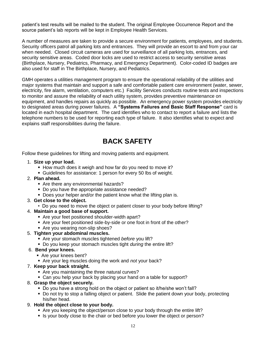patient's test results will be mailed to the student. The original Employee Occurrence Report and the source patient's lab reports will be kept in Employee Health Services.

A number of measures are taken to provide a secure environment for patients, employees, and students. Security officers patrol all parking lots and entrances. They will provide an escort to and from your car when needed. Closed circuit cameras are used for surveillance of all parking lots, entrances, and security sensitive areas. Coded door locks are used to restrict access to security sensitive areas (Birthplace, Nursery, Pediatrics, Pharmacy, and Emergency Department). Color-coded ID badges are also used for staff in The Birthplace, Nursery, and Pediatrics.

GMH operates a utilities management program to ensure the operational reliability of the utilities and major systems that maintain and support a safe and comfortable patient care environment (water, sewer, electricity, fire alarm, ventilation, computers etc.) Facility Services conducts routine tests and inspections to monitor and assure the reliability of each utility system, provides preventive maintenance on equipment, and handles repairs as quickly as possible. An emergency power system provides electricity to designated areas during power failures. A **"Systems Failures and Basic Staff Response"** card is located in each hospital department. The card identifies who to contact to report a failure and lists the telephone numbers to be used for reporting each type of failure. It also identifies what to expect and explains staff responsibilities during the failure.

# **BACK SAFETY**

Follow these guidelines for lifting and moving patients and equipment.

- 1. **Size up your load.**
	- How much does it weigh and how far do you need to move it?
	- Guidelines for assistance: 1 person for every 50 lbs of weight.

### 2. **Plan ahead.**

- Are there any environmental hazards?
- Do you have the appropriate assistance needed?
- Does your helper and/or the patient know what the lifting plan is.
- 3. **Get close to the object.**
	- Do you need to move the object or patient closer to your body before lifting?
- 4. **Maintain a good base of support.**
	- Are your feet positioned shoulder-width apart?
	- Are your feet positioned side-by-side or one foot in front of the other?
	- Are you wearing non-slip shoes?
- 5. **Tighten your abdominal muscles.**
	- Are your stomach muscles tightened *before* you lift?
	- Do you keep your stomach muscles tight *during* the entire lift?

### 6. **Bend your knees.**

- Are your knees bent?
- Are your leg muscles doing the work and *not* your back?
- 7. **Keep your back straight.**
	- Are you maintaining the three natural curves?
	- Can you help your back by placing your hand on a table for support?
- 8. **Grasp the object securely.**
	- Do you have a strong hold on the object or patient so it/he/she won't fall?
	- Do not try to stop a falling object or patient. Slide the patient down your body, protecting his/her head.
- 9. **Hold the object close to your body.**
	- Are you keeping the object/person close to your body through the entire lift?
	- If Is your body close to the chair or bed before you lower the object or person?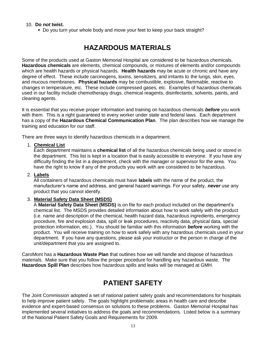### 10. **Do** *not* **twist.**

Do you turn your whole body and move your feet to keep your back straight?

# **HAZARDOUS MATERIALS**

Some of the products used at Gaston Memorial Hospital are considered to be hazardous chemicals. **Hazardous chemicals** are elements, chemical compounds, or mixtures of elements and/or compounds which are health hazards or physical hazards. **Health hazards** may be acute or chronic and have any degree of effect. These include carcinogens, toxins, sensitizers, and irritants to the lungs, skin, eyes, and mucous membranes. **Physical hazards** may be combustible, explosive, flammable, reactive to changes in temperature, etc. These include compressed gases, etc. Examples of hazardous chemicals used in our facility include chemotherapy drugs, chemical reagents, disinfectants, solvents, paints, and cleaning agents.

It is essential that you receive proper information and training on hazardous chemicals *before* you work with them. This is a right guaranteed to every worker under state and federal laws. Each department has a copy of the **Hazardous Chemical Communication Plan**. The plan describes how we manage the training and education for our staff.

There are three ways to identify hazardous chemicals in a department.

### 1. **Chemical List**

Each department maintains a **chemical list** of all the hazardous chemicals being used or stored in the department. This list is kept in a location that is easily accessible to everyone. If you have any difficulty finding the list in a department, check with the manager or supervisor for the area. You have the right to know if any of the products you work with are considered to be hazardous.

### 2. **Labels**

All containers of hazardous chemicals must have **labels** with the name of the product, the manufacturer's name and address, and general hazard warnings. For your safety*, never* use any product that you cannot identify.

### 3. **Material Safety Data Sheet (MSDS)**

A **Material Safety Data Sheet (MSDS)** is on file for each product included on the department's chemical list. The MSDS provides detailed information about how to work safely with the product (i.e. name and description of the chemical, health hazard data, hazardous ingredients, emergency procedure, fire and explosion data, spill or leak procedures, reactivity data, physical data, special protection information, etc.). You should be familiar with this information *before* working with the product. You will receive training on how to work safely with any hazardous chemicals used in your department. If you have any questions, please ask your instructor or the person in charge of the unit/department that you are assigned to.

CaroMont has a **Hazardous Waste Plan** that outlines how we will handle and dispose of hazardous materials. Make sure that you follow the proper procedure for handling any hazardous waste. The **Hazardous Spill Plan** describes how hazardous spills and leaks will be managed at GMH.

## **PATIENT SAFETY**

The Joint Commission adopted a set of national patient safety goals and recommendations for hospitals to help improve patient safety. The goals highlight problematic areas in health care and describe evidence and expert-based consensus on solutions to these problems. Gaston Memorial Hospital has implemented several initiatives to address the goals and recommendations. Listed below is a summary of the National Patient Safety Goals and Requirements for 2009.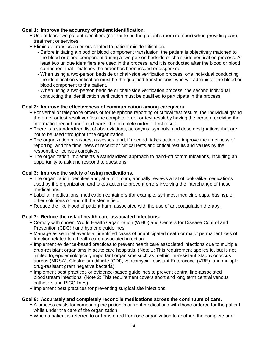### **Goal 1: Improve the accuracy of patient identification.**

- Use at least two patient identifiers (neither to be the patient's room number) when providing care, treatment or services.
- Eliminate transfusion errors related to patient misidentification.
	- Before initiating a blood or blood component transfusion, the patient is objectively matched to the blood or blood component during a two person bedside or chair-side verification process. At least two unique identifiers are used in the process, and it is conducted after the blood or blood component that matches the order has been issued or dispensed.
	- When using a two-person bedside or chair-side verification process, one individual conducting the identification verification must be the qualified transfusionist who will administer the blood or blood component to the patient.
	- When using a two-person bedside or chair-side verification process, the second individual conducting the identification verification must be qualified to participate in the process.

### **Goal 2: Improve the effectiveness of communication among caregivers.**

- For verbal or telephone orders or for telephone reporting of critical test results, the individual giving the order or test result verifies the complete order or test result by having the person receiving the information record and "read-back" the complete order or test result.
- There is a standardized list of abbreviations, acronyms, symbols, and dose designations that are not to be used throughout the organization.
- The organization measures, assesses, and, if needed, takes action to improve the timeliness of reporting, and the timeliness of receipt of critical tests and critical results and values by the responsible licenses caregiver.
- The organization implements a standardized approach to hand-off communications, including an opportunity to ask and respond to questions.

### **Goal 3: Improve the safety of using medications.**

- The organization identifies and, at a minimum, annually reviews a list of look-alike medications used by the organization and takes action to prevent errors involving the interchange of these medications.
- Label all medications, medication containers (for example, syringes, medicine cups, basins), or other solutions on and off the sterile field.
- Reduce the likelihood of patient harm associated with the use of anticoagulation therapy.

### **Goal 7: Reduce the risk of health care-associated infections.**

- Comply with current World Health Organization (WHO) and Centers for Disease Control and Prevention (CDC) hand hygiene guidelines.
- Manage as sentinel events all identified cases of unanticipated death or major permanent loss of function related to a health care associated infection.
- **I**mplement evidence-based practices to prevent health care associated infections due to multiple drug-resistant organisms in acute care hospitals. (Note 1: This requirement applies to, but is not limited to, epidemiologically important organisms such as methicillin-resistant Staphylococcus aureus (MRSA), Clostridium difficile (CDI), vancomycin-resistant Enterococci (VRE), and multiple drug-resistant gram negative bacteria).
- Implement best practices or evidence-based guidelines to prevent central line-associated bloodstream infections. (Note 2: This requirement covers short and long term central venous catheters and PICC lines).
- Implement best practices for preventing surgical site infections.

### **Goal 8: Accurately and completely reconcile medications across the continuum of care.**

- A process exists for comparing the patient's current medications with those ordered for the patient while under the care of the organization.
- When a patient is referred to or transferred from one organization to another, the complete and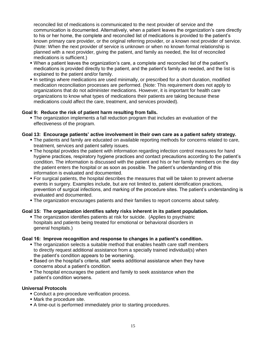reconciled list of medications is communicated to the next provider of service and the communication is documented. Alternatively, when a patient leaves the organization's care directly to his or her home, the complete and reconciled list of medications is provided to the patient's known primary care provider, or the original referring provider, or a known next provider of service. (Note: When the next provider of service is unknown or when no known formal relationship is planned with a next provider, giving the patient, and family as needed, the list of reconciled medications is sufficient.)

- When a patient leaves the organization's care, a complete and reconciled list of the patient's medications is provided directly to the patient, and the patient's family as needed, and the list is explained to the patient and/or family.
- In settings where medications are used minimally, or prescribed for a short duration, modified medication reconciliation processes are performed. (Note: This requirement does not apply to organizations that do not administer medications. However, it is important for health care organizations to know what types of medications their patients are taking because these medications could affect the care, treatment, and services provided).

### **Goal 9: Reduce the risk of patient harm resulting from falls.**

 The organization implements a fall reduction program that includes an evaluation of the effectiveness of the program.

### **Goal 13: Encourage patients' active involvement in their own care as a patient safety strategy.**

- The patients and family are educated on available reporting methods for concerns related to care, treatment, services and patient safety issues.
- The hospital provides the patient with information regarding infection control measures for hand hygiene practices, respiratory hygiene practices and contact precautions according to the patient's condition. The information is discussed with the patient and his or her family members on the day the patient enters the hospital or as soon as possible. The patient's understanding of this information is evaluated and documented.
- For surgical patients, the hospital describes the measures that will be taken to prevent adverse events in surgery. Examples include, but are not limited to, patient identification practices, prevention of surgical infections, and marking of the procedure sites. The patient's understanding is evaluated and documented.
- The organization encourages patients and their families to report concerns about safety.

### **Goal 15: The organization identifies safety risks inherent in its patient population.**

 The organization identifies patients at risk for suicide. (Applies to psychiatric hospitals and patients being treated for emotional or behavioral disorders in general hospitals.)

### **Goal 16: Improve recognition and response to changes in a patient's condition.**

- The organization selects a suitable method that enables health care staff members to directly request additional assistance from a specially trained individual(s) when the patient's condition appears to be worsening.
- Based on the hospital's criteria, staff seeks additional assistance when they have concerns about a patient's condition.
- The hospital encourages the patient and family to seek assistance when the patient's condition worsens.

### **Universal Protocols**

- Conduct a pre-procedure verification process.
- Mark the procedure site.
- A time-out is performed immediately prior to starting procedures.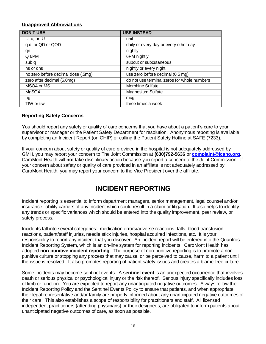### **Unapproved Abbreviations**

| <b>DON'T USE</b>                   | <b>USE INSTEAD</b>                          |
|------------------------------------|---------------------------------------------|
| U, u, or IU                        | unit                                        |
| q.d. or QD or QOD                  | daily or every day or every other day       |
| qn                                 | nightly                                     |
| Q 6PM                              | 6PM nightly                                 |
| sub q                              | subcut or subcutaneous                      |
| hs or qhs                          | nightly or every night                      |
| no zero before decimal dose (.5mg) | use zero before decimal (0.5 mg)            |
| zero after decimal (5.0mg)         | do not use terminal zeros for whole numbers |
| MSO4 or MS                         | Morphine Sulfate                            |
| MgSO4                              | Magnesium Sulfate                           |
| μg                                 | mcg                                         |
| TIW or tiw                         | three times a week                          |

### **Reporting Safety Concerns**

You should report any safety or quality of care concerns that you have about a patient's care to your supervisor or manager or the Patient Safety Department for resolution. Anonymous reporting is available by completing an Incident Report (on CHIP) or calling the Patient Safety Hotline at SAFE (7233).

If your concern about safety or quality of care provided in the hospital is not adequately addressed by GMH, you may report your concern to The Joint Commission at **(630)792-5636** or **[complaint@jcaho.org](mailto:complaint@jcaho.org)**. CaroMont Health will **not** take disciplinary action because you report a concern to the Joint Commission. If your concern about safety or quality of care provided in an affiliate is not adequately addressed by CaroMont Health, you may report your concern to the Vice President over the affiliate.

# **INCIDENT REPORTING**

Incident reporting is essential to inform department managers, senior management, legal counsel and/or insurance liability carriers of any incident which could result in a claim or litigation. It also helps to identify any trends or specific variances which should be entered into the quality improvement, peer review, or safety process.

Incidents fall into several categories: medication errors/adverse reactions, falls, blood transfusion reactions, patient/staff injuries, needle stick injuries, hospital acquired infections, etc. It is your responsibility to report any incident that you discover. An incident report will be entered into the Quantros Incident Reporting System, which is an on-line system for reporting incidents. CaroMont Health has adopted **non-punitive incident reporting**. The purpose of non-punitive reporting is to promote a nonpunitive culture or stopping any process that may cause, or be perceived to cause, harm to a patient until the issue is resolved. It also promotes reporting of patient safety issues and creates a blame-free culture.

Some incidents may become sentinel events. A **sentinel event** is an unexpected occurrence that involves death or serious physical or psychological injury or the risk thereof. Serious injury specifically includes loss of limb or function. You are expected to report any unanticipated negative outcomes. Always follow the Incident Reporting Policy and the Sentinel Events Policy to ensure that patients, and when appropriate, their legal representative and/or family are properly informed about any unanticipated negative outcomes of their care. This also establishes a scope of responsibility for practitioners and staff. All licensed independent practitioners (attending physicians) or their designees, are obligated to inform patients about unanticipated negative outcomes of care, as soon as possible.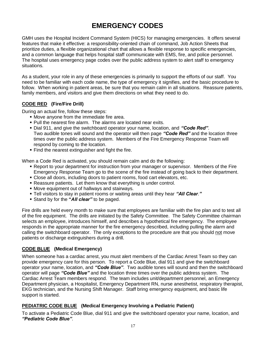# **EMERGENCY CODES**

GMH uses the Hospital Incident Command System (HICS) for managing emergencies. It offers several features that make it effective: a responsibility-oriented chain of command, Job Action Sheets that prioritize duties, a flexible organizational chart that allows a flexible response to specific emergencies, and a common language that helps hospital staff communicate with EMS, fire, and police personnel. The hospital uses emergency page codes over the public address system to alert staff to emergency situations.

As a student, your role in any of these emergencies is primarily to support the efforts of our staff. You need to be familiar with each code name, the type of emergency it signifies, and the basic procedure to follow. When working in patient areas, be sure that you remain calm in all situations. Reassure patients, family members, and visitors and give them directions on what they need to do.

### **CODE RED (Fire/Fire Drill)**

During an actual fire, follow these steps:

- Move anyone from the immediate fire area.
- Pull the nearest fire alarm. The alarms are located near exits.
- Dial 911, and give the switchboard operator your name, location, and *"Code Red"*. Two audible tones will sound and the operator will then page *"Code Red"* and the location three times over the public address system. Members of the Fire Emergency Response Team will respond by coming to the location.
- **Find the nearest extinguisher and fight the fire.**

When a Code Red is activated, you should remain calm and do the following:

- Report to your department for instruction from your manager or supervisor. Members of the Fire Emergency Response Team go to the scene of the fire instead of going back to their department.
- Close all doors, including doors to patient rooms, food cart elevators, etc.
- Reassure patients. Let them know that everything is under control.
- Move equipment out of hallways and stairways.
- Tell visitors to stay in patient rooms or waiting areas until they hear *"All Clear*.*"*
- Stand by for the **"***All clear"* to be paged.

Fire drills are held every month to make sure that employees are familiar with the fire plan and to test all of the fire equipment. The drills are initiated by the Safety Committee. The Safety Committee chairman selects an employee, introduces himself, and describes a hypothetical fire emergency. The employee responds in the appropriate manner for the fire emergency described, including pulling the alarm and calling the switchboard operator. The only exceptions to the procedure are that you should not move patients or discharge extinguishers during a drill.

### **CODE BLUE (Medical Emergency)**

When someone has a cardiac arrest, you must alert members of the Cardiac Arrest Team so they can provide emergency care for this person. To report a Code Blue, dial 911 and give the switchboard operator your name, location, and *"Code Blue"*. Two audible tones will sound and then the switchboard operator will page *"Code Blue"* and the location three times over the public address system. The Cardiac Arrest Team members respond. The team includes unit/department personnel, an Emergency Department physician, a Hospitalist, Emergency Department RN, nurse anesthetist, respiratory therapist, EKG technician, and the Nursing Shift Manager. Staff bring emergency equipment, and basic life support is started.

### **PEDIATRIC CODE BLUE (Medical Emergency Involving a Pediatric Patient)**

To activate a Pediatric Code Blue, dial 911 and give the switchboard operator your name, location, and *"Pediatric Code Blue"*.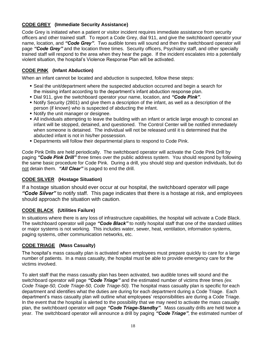### **CODE GREY (Immediate Security Assistance)**

Code Grey is initiated when a patient or visitor incident requires immediate assistance from security officers and other trained staff. To report a Code Grey, dial 911, and give the switchboard operator your name, location, and *"Code Grey"*. Two audible tones will sound and then the switchboard operator will page *"Code Grey"* and the location three times. Security officers, Psychiatry staff, and other specially trained staff will respond to the area when they hear the page. If the incident escalates into a potentially violent situation, the hospital's Violence Response Plan will be activated.

### **CODE PINK (Infant Abduction)**

When an infant cannot be located and abduction is suspected, follow these steps:

- Seal the unit/department where the suspected abduction occurred and begin a search for the missing infant according to the department's infant abduction response plan.
- Dial 911, give the switchboard operator your name, location, and *"Code Pink"*.
- Notify Security (2801) and give them a description of the infant, as well as a description of the person (if known) who is suspected of abducting the infant.
- **Notify the unit manager or designee.**
- All individuals attempting to leave the building with an infant or article large enough to conceal an infant will be stopped, detained, and questioned. The Control Center will be notified immediately when someone is detained. The individual will not be released until it is determined that the abducted infant is not in his/her possession.
- Departments will follow their departmental plans to respond to Code Pink.

Code Pink Drills are held periodically. The switchboard operator will activate the Code Pink Drill by paging *"Code Pink Drill"* three times over the public address system. You should respond by following the same basic procedure for Code Pink. During a drill, you should stop and question individuals, but do not detain them. *"All Clear"* is paged to end the drill.

### **CODE SILVER (Hostage Situation)**

If a hostage situation should ever occur at our hospital, the switchboard operator will page *"Code Silver"* to notify staff. This page indicates that there is a hostage at risk, and employees should approach the situation with caution.

### **CODE BLACK (Utilities Failure)**

In situations where there is any loss of infrastructure capabilities, the hospital will activate a Code Black. The switchboard operator will page *"Code Black"* to notify hospital staff that one of the standard utilities or major systems is not working. This includes water, sewer, heat, ventilation, information systems, paging systems, other communication networks, etc.

### **CODE TRIAGE (Mass Casualty)**

The hospital's mass casualty plan is activated when employees must prepare quickly to care for a large number of patients. In a mass casualty, the hospital must be able to provide emergency care for the victims involved.

To alert staff that the mass casualty plan has been activated, two audible tones will sound and the switchboard operator will page *"Code Triage"* and the estimated number of victims three times *(ex. Code Triage-50, Code Triage-50, Code Triage-50)*. The hospital mass casualty plan is specific for each department and identifies what the duties are during for each department during a Code Triage. Each department's mass casualty plan will outline what employees' responsibilities are during a Code Triage. In the event that the hospital is alerted to the possibility that we may need to activate the mass casualty plan, the switchboard operator will page *"Code Triage-Standby"*. Mass casualty drills are held twice a year. The switchboard operator will announce a drill by paging *"Code Triage"*, the estimated number of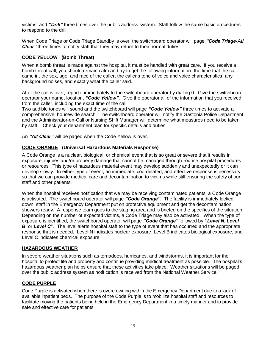victims, and *"Drill"* three times over the public address system. Staff follow the same basic procedures to respond to the drill.

When Code Triage or Code Triage Standby is over, the switchboard operator will page *"Code Triage-All Clear* three times to notify staff that they may return to their normal duties.

### **CODE YELLOW (Bomb Threat)**

When a bomb threat is made against the hospital, it must be handled with great care. If you receive a bomb threat call, you should remain calm and try to get the following information: the time that the call came in, the sex, age, and race of the caller, the caller's tone of voice and voice characteristics, any background noises, and exactly what the caller said.

After the call is over, report it immediately to the switchboard operator by dialing 0. Give the switchboard operator your name, location, *"Code Yellow"*. Give the operator all of the information that you received from the caller, including the exact time of the call.

Two audible tones will sound and the switchboard will page *"Code Yellow"* three times to activate a comprehensive, housewide search. The switchboard operator will notify the Gastonia Police Department and the Administrator-on-Call or Nursing Shift Manager will determine what measures need to be taken by staff. Check your department plan for specific details and duties.

An *"All Clear"* will be paged when the Code Yellow is over.

### **CODE ORANGE (Universal Hazardous Materials Response)**

A Code Orange is a nuclear, biological, or chemical event that is so great or severe that it results in exposure, injuries and/or property damage that cannot be managed through routine hospital procedures or resources. This type of hazardous material event may develop suddenly and unexpectedly or it can develop slowly. In either type of event, an immediate, coordinated, and effective response is necessary so that we can provide medical care and decontamination to victims while still ensuring the safety of our staff and other patients.

When the hospital receives notification that we may be receiving contaminated patients, a Code Orange is activated. The switchboard operator will page *"Code Orange"*. The facility is immediately locked down, staff in the Emergency Department put on protective equipment and get the decontamination showers ready. A response team goes to the staging area and is briefed on the specifics of the situation. Depending on the number of expected victims, a Code Triage may also be activated. When the type of exposure is identified, the switchboard operator will page *"Code Orange"* followed by *"Level N*, *Level B*, or *Level C*". The level alerts hospital staff to the type of event that has occurred and the appropriate response that is needed. Level N indicates nuclear exposure, Level B indicates biological exposure, and Level C indicates chemical exposure.

### **HAZARDOUS WEATHER**

In severe weather situations such as tornadoes, hurricanes, and windstorms, it is important for the hospital to protect life and property and continue providing medical treatment as possible. The hospital's hazardous weather plan helps ensure that these activities take place. Weather situations will be paged over the public address system as notification is received from the National Weather Service.

### **CODE PURPLE**

Code Purple is activated when there is overcrowding within the Emergency Department due to a lack of available inpatient beds. The purpose of the Code Purple is to mobilize hospital staff and resources to facilitate moving the patients being held in the Emergency Department in a timely manner and to provide safe and effective care for patients.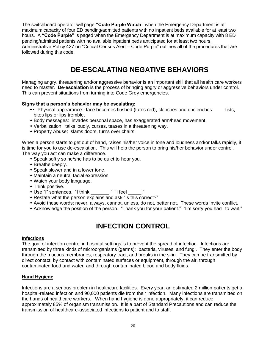The switchboard operator will page **"Code Purple Watch"** when the Emergency Department is at maximum capacity of four ED pending/admitted patients with no inpatient beds available for at least two hours. A **"Code Purple"** is paged when the Emergency Department is at maximum capacity with 8 ED pending/admitted patients with no available inpatient beds anticipated for at least two hours. Administrative Policy 427 on "Critical Census Alert – Code Purple" outlines all of the procedures that are followed during this code.

# **DE-ESCALATING NEGATIVE BEHAVIORS**

Managing angry, threatening and/or aggressive behavior is an important skill that all health care workers need to master. **De-escalation** is the process of bringing angry or aggressive behaviors under control. This can prevent situations from turning into Code Grey emergencies.

### **Signs that a person's behavior may be escalating:**

- Physical appearance: face becomes flushed (turns red), clenches and unclenches fists, bites lips or lips tremble.
- Body messages: invades personal space, has exaggerated arm/head movement.
- Verbalization: talks loudly, curses, teases in a threatening way.
- Property Abuse: slams doors, turns over chairs.

When a person starts to get out of hand, raises his/her voice in tone and loudness and/or talks rapidly, it is time for you to use de-escalation. This will help the person to bring his/her behavior under control. The way you act can make a difference.

- Speak softly so he/she has to be quiet to hear you.
- Breathe deeply.
- Speak slower and in a lower tone.
- Maintain a neutral facial expression.
- Watch your body language.
- Think positive.
- Use "I" sentences. "I think \_\_\_\_\_\_\_." "I feel \_\_\_\_\_."
- Restate what the person explains and ask "Is this correct?"
- Avoid these words: never, always, cannot, unless, do not, better not. These words invite conflict.
- Acknowledge the position of the person. "Thank you for your patient." "I'm sorry you had to wait."

# **INFECTION CONTROL**

### **Infections**

The goal of infection control in hospital settings is to prevent the spread of infection. Infections are transmitted by three kinds of microorganisms (germs): bacteria, viruses, and fungi. They enter the body through the mucous membranes, respiratory tract, and breaks in the skin. They can be transmitted by direct contact, by contact with contaminated surfaces or equipment, through the air, through contaminated food and water, and through contaminated blood and body fluids.

### **Hand Hygiene**

Infections are a serious problem in healthcare facilities. Every year, an estimated 2 million patients get a hospital-related infection and 90,000 patients die from their infection. Many infections are transmitted on the hands of healthcare workers. When hand hygiene is done appropriately, it can reduce approximately 85% of organism transmission. It is a part of Standard Precautions and can reduce the transmission of healthcare-associated infections to patient and to staff.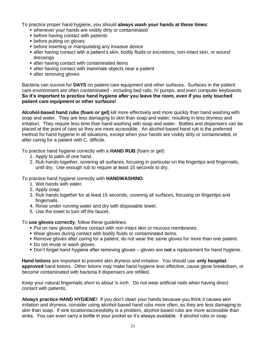To practice proper hand hygiene, you should **always wash your hands at these times**:

- whenever your hands are visibly dirty or contaminated
- **before having contact with patients**
- **before putting on gloves**
- **before inserting or manipulating any invasive device**
- after having contact with a patient's skin, bodily fluids or excretions, non-intact skin, or wound dressings
- **Example 1** after having contact with contaminated items
- **Example 1** after having contact with inanimate objects near a patient
- **a** after removing gloves

Bacteria can survive for **DAYS** on patient care equipment and other surfaces. Surfaces in the patient care environment are often contaminated - including bed rails, IV pumps, and even computer keyboards. **So it's important to practice hand hygiene after you leave the room, even if you only touched patient care equipment or other surfaces!**

**Alcohol-based hand rubs (foam or gel)** kill more effectively and more quickly than hand washing with soap and water. They are less damaging to skin than soap and water, resulting in less dryness and irritation. They require less time than hand washing with soap and water. Bottles and dispensers can be placed at the point of care so they are more accessible. An alcohol-based hand rub is the preferred method for hand hygiene in all situations, except when your hands are visibly dirty or contaminated, or after caring for a patient with C. difficile.

To practice hand hygiene correctly with a **HAND RUB** (foam or gel):

- 1. Apply to palm of one hand.
- 2. Rub hands together, covering all surfaces, focusing in particular on the fingertips and fingernails, until dry. Use enough rub to require at least 15 seconds to dry.

To practice hand hygiene correctly with **HANDWASHING**:

- 1. Wet hands with water.
- 2. Apply soap.
- 3. Rub hands together for at least 15 seconds, covering all surfaces, focusing on fingertips and fingernails.
- 4. Rinse under running water and dry with disposable towel.
- 5. Use the towel to turn off the faucet.

To **use gloves correctly**, follow these guidelines:

- Put on new gloves before contact with non-intact skin or mucous membranes.
- Wear gloves during contact with bodily fluids or contaminated items.
- Remove gloves after caring for a patient; do not wear the same gloves for more than one patient.
- Do not reuse or wash gloves.
- Don't forget hand hygiene after removing gloves gloves are **not** a replacement for hand hygiene.

**Hand lotions** are important to prevent skin dryness and irritation. You should use **only hospitalapproved** hand lotions. Other lotions may make hand hygiene less effective, cause glove breakdown, or become contaminated with bacteria if dispensers are refilled.

Keep your natural fingernails short to about  $\frac{1}{2}$  inch. Do not wear artificial nails when having direct contact with patients.

**Always practice HAND HYGIENE!** If you don't clean your hands because you think it causes skin irritation and dryness, consider using alcohol-based hand rubs more often, as they are less damaging to skin than soap. If sink location/accessibility is a problem, alcohol-based rubs are more accessible than sinks. You can even carry a bottle in your pocket so it's always available. If alcohol rubs or soap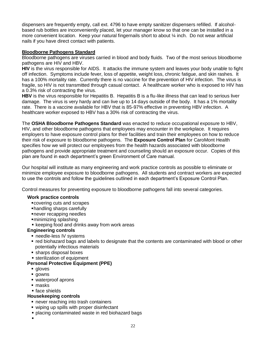dispensers are frequently empty, call ext. 4796 to have empty sanitizer dispensers refilled. If alcoholbased rub bottles are inconveniently placed, let your manager know so that one can be installed in a more convenient location. Keep your natural fingernails short to about ¼ inch. Do not wear artificial nails if you have direct contact with patients.

### **Bloodborne Pathogens Standard**

Bloodborne pathogens are viruses carried in blood and body fluids. Two of the most serious bloodborne pathogens are HIV and HBV.

**HIV** is the virus responsible for AIDS. It attacks the immune system and leaves your body unable to fight off infection. Symptoms include fever, loss of appetite, weight loss, chronic fatigue, and skin rashes. It has a 100% mortality rate. Currently there is no vaccine for the prevention of HIV infection. The virus is fragile, so HIV is not transmitted through casual contact. A healthcare worker who is exposed to HIV has a 0.3% risk of contracting the virus.

**HBV** is the virus responsible for Hepatitis B. Hepatitis B is a flu-like illness that can lead to serious liver damage. The virus is very hardy and can live up to 14 days outside of the body. It has a 1% mortality rate. There is a vaccine available for HBV that is 85-97% effective in preventing HBV infection. A healthcare worker exposed to HBV has a 30% risk of contracting the virus.

The **OSHA Bloodborne Pathogens Standard** was enacted to reduce occupational exposure to HBV, HIV, and other bloodborne pathogens that employees may encounter in the workplace. It requires employers to have exposure control plans for their facilities and train their employees on how to reduce their risk of exposure to bloodborne pathogens. The **Exposure Control Plan** for CaroMont Health specifies how we will protect our employees from the health hazards associated with bloodborne pathogens and provide appropriate treatment and counseling should an exposure occur. Copies of this plan are found in each department's green Environment of Care manual.

Our hospital will institute as many engineering and work practice controls as possible to eliminate or minimize employee exposure to bloodborne pathogens. All students and contract workers are expected to use the controls and follow the guidelines outlined in each department's Exposure Control Plan.

Control measures for preventing exposure to bloodborne pathogens fall into several categories.

### **Work practice controls**

- covering cuts and scrapes
- handling sharps carefully
- never recapping needles
- minimizing splashing
- **Exercise 1** keeping food and drinks away from work areas

### **Engineering controls**

- **P** needle-less IV systems
- red biohazard bags and labels to designate that the contents are contaminated with blood or other potentially infectious materials
- sharps disposal boxes
- **sterilization of equipment**

### **Personal Protective Equipment (PPE)**

- **gloves**
- **gowns**
- waterproof aprons
- masks
- face shields

### **Housekeeping controls**

- **P** never reaching into trash containers
- wiping up spills with proper disinfectant
- **placing contaminated waste in red biohazard bags**
- $\blacksquare$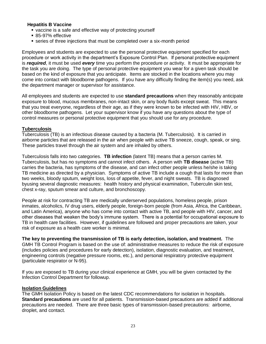### **Hepatitis B Vaccine**

- vaccine is a safe and effective way of protecting yourself
- 85-97% effective
- series of three injections that must be completed over a six-month period

Employees and students are expected to use the personal protective equipment specified for each procedure or work activity in the department's Exposure Control Plan. If personal protective equipment is *required*, it must be used *every* time you perform the procedure or activity. It must be appropriate for the task you are doing. The type of personal protective equipment you wear for a given task should be based on the kind of exposure that you anticipate. Items are stocked in the locations where you may come into contact with bloodborne pathogens. If you have any difficulty finding the item(s) you need, ask the department manager or supervisor for assistance.

All employees and students are expected to use **standard precautions** when they reasonably anticipate exposure to blood, mucous membranes, non-intact skin, or any body fluids except sweat. This means that you treat everyone, regardless of their age, as if they were known to be infected with HIV, HBV, or other bloodborne pathogens. Let your supervisor know if you have any questions about the type of control measures or personal protective equipment that you should use for any procedure.

### **Tuberculosis**

Tuberculosis (TB) is an infectious disease caused by a bacteria (M. Tuberculosis). It is carried in airborne particles that are released in the air when people with active TB sneeze, cough, speak, or sing. These particles travel through the air system and are inhaled by others.

Tuberculosis falls into two categories. **TB infection** (latent TB) means that a person carries M. Tuberculosis, but has no symptoms and cannot infect others. A person with **TB disease** (active TB) carries the bacteria, has symptoms of the disease, and can infect other people unless he/she is taking TB medicine as directed by a physician. Symptoms of active TB include a cough that lasts for more than two weeks, bloody sputum, weight loss, loss of appetite, fever, and night sweats. TB is diagnosed byusing several diagnostic measures: health history and physical examination, Tuberculin skin test, chest x-ray, sputum smear and culture, and bronchoscopy.

People at risk for contracting TB are medically underserved populations, homeless people, prison inmates, alcoholics, IV drug users, elderly people, foreign-born people (from Asia, Africa, the Caribbean, and Latin America), anyone who has come into contact with active TB, and people with HIV, cancer, and other diseases that weaken the body's immune system. There is a potential for occupational exposure to TB in health care facilities. However, if guidelines are followed and proper precautions are taken, your risk of exposure as a health care worker is minimal.

**The key to preventing the transmission of TB is early detection, isolation, and treatment.** The GMH TB Control Program is based on the use of: administrative measures to reduce the risk of exposure (includes policies and procedures for early detection), isolation, diagnostic evaluation, and treatment, engineering controls (negative pressure rooms, etc.), and personal respiratory protective equipment (particulate respirator or N-95).

If you are exposed to TB during your clinical experience at GMH, you will be given contacted by the Infection Control Department for followup.

### **Isolation Guidelines**

The GMH Isolation Policy is based on the latest CDC recommendations for isolation in hospitals. **Standard precautions** are used for all patients. Transmission-based precautions are added if additional precautions are needed. There are three basic types of transmission-based precautions: airborne, droplet, and contact.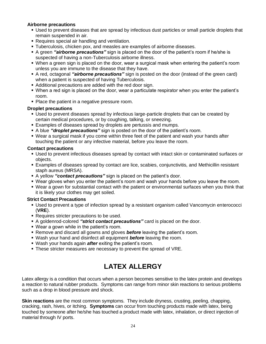### **Airborne precautions**

- Used to prevent diseases that are spread by infectious dust particles or small particle droplets that remain suspended in air.
- Requires special air handling and ventilation.
- Tuberculosis, chicken pox, and measles are examples of airborne diseases.
- A green *"airborne precautions"* sign is placed on the door of the patient's room if he/she is suspected of having a non-Tuberculosis airborne illness.
- When a green sign is placed on the door, wear a surgical mask when entering the patient's room unless you are immune to the disease that they have.
- A red, octagonal *"airborne precautions"* sign is posted on the door (instead of the green card) when a patient is suspected of having Tuberculosis.
- Additional precautions are added with the red door sign.
- When a red sign is placed on the door, wear a particulate respirator when you enter the patient's room.
- Place the patient in a negative pressure room.

### **Droplet precautions**

- Used to prevent diseases spread by infectious large-particle droplets that can be created by certain medical procedures, or by coughing, talking, or sneezing.
- Examples of diseases spread by droplets are pertussis and mumps.
- A blue *"droplet precautions"* sign is posted on the door of the patient's room.
- Wear a surgical mask if you come within three feet of the patient and wash your hands after touching the patient or any infective material, before you leave the room.

### **Contact precautions**

- Used to prevent infectious diseases spread by contact with intact skin or contaminated surfaces or objects.
- Examples of diseases spread by contact are lice, scabies, conjunctivitis, and Methicillin resistant staph aureus (MRSA).
- A yellow *"contact precautions"* sign is placed on the patient's door.
- Wear gloves when you enter the patient's room and wash your hands before you leave the room.
- Wear a gown for substantial contact with the patient or environmental surfaces when you think that it is likely your clothes may get soiled.

### **Strict Contact Precautions**

- Used to prevent a type of infection spread by a resistant organism called Vancomycin enterococci (**VRE**).
- Requires stricter precautions to be used.
- A goldenrod-colored *"strict contact precautions"* card is placed on the door.
- Wear a gown while in the patient's room.
- **Remove and discard all gowns and gloves** *before* leaving the patient's room.
- Wash your hand and disinfect all equipment *before* leaving the room.
- Wash your hands again *after* exiting the patient's room.
- These stricter measures are necessary to prevent the spread of VRE.

# **LATEX ALLERGY**

Latex allergy is a condition that occurs when a person becomes sensitive to the latex protein and develops a reaction to natural rubber products. Symptoms can range from minor skin reactions to serious problems such as a drop in blood pressure and shock.

**Skin reactions** are the most common symptoms. They include dryness, crusting, peeling, chapping, cracking, rash, hives, or itching. **Symptoms** can occur from touching products made with latex, being touched by someone after he/she has touched a product made with latex, inhalation, or direct injection of material through IV ports.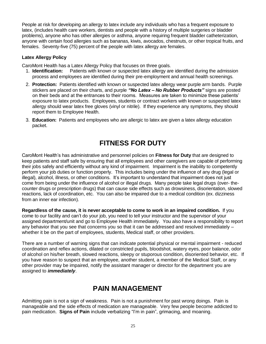People at risk for developing an allergy to latex include any individuals who has a frequent exposure to latex, (includes health care workers, dentists and people with a history of multiple surgeries or bladder problems), anyone who has other allergies or asthma, anyone requiring frequent bladder catheterization, anyone with certain food allergies such as bananas, kiwis, avocados, chestnuts, or other tropical fruits, and females. Seventy-five (75) percent of the people with latex allergy are females.

### **Latex Allergy Policy**

CaroMont Health has a Latex Allergy Policy that focuses on three goals.

- 1. **Identification:** Patients with known or suspected latex allergy are identified during the admission process and employees are identified during their pre-employment and annual health screenings.
- 2. **Protection:** Patients identified with known or suspected latex allergy wear purple arm bands. Purple stickers are placed on their charts, and purple *"No Latex – No Rubber Products"* signs are posted on their beds and at the entrances to their rooms. Measures are taken to minimize these patients' exposure to latex products. Employees, students or contract workers with known or suspected latex allergy should wear latex free gloves (vinyl or nitrile). If they experience any symptoms, they should report them to Employee Health.
- 3. **Education:** Patients and employees who are allergic to latex are given a latex allergy education packet.

# **FITNESS FOR DUTY**

CaroMont Health's has administrative and personnel policies on **Fitness for Duty** that are designed to keep patients and staff safe by ensuring that all employees and other caregivers are capable of performing their jobs safely and efficiently without any kind of impairment. Impairment is the inability to competently perform your job duties or function properly. This includes being under the influence of any drug (legal or illegal), alcohol, illness, or other conditions. It's important to understand that impairment does not just come from being under the influence of alcohol or illegal drugs. Many people take legal drugs (over- thecounter drugs or prescription drugs) that can cause side effects such as drowsiness, disorientation, slowed reactions, lack of coordination, etc. You can also be impaired due to a medical condition (ex. dizziness from an inner ear infection).

**Regardless of the cause, it is never acceptable to come to work in an impaired condition.** If you come to our facility and can't do your job, you need to tell your instructor and the supervisor of your assigned department/unit and go to Employee Health immediately. You also have a responsibility to report any behavior that you see that concerns you so that it can be addressed and resolved immediately – whether it be on the part of employees, students, Medical staff, or other providers.

There are a number of warning signs that can indicate potential physical or mental impairment - reduced coordination and reflex actions, dilated or constricted pupils, bloodshot, watery eyes, poor balance, odor of alcohol on his/her breath, slowed reactions, sleepy or stuporous condition, disoriented behavior, etc. If you have reason to suspect that an employee, another student, a member of the Medical Staff, or any other provider may be impaired, notify the assistant manager or director for the department you are assigned to *immediately*.

# **PAIN MANAGEMENT**

Admitting pain is not a sign of weakness. Pain is not a punishment for past wrong doings. Pain is manageable and the side effects of medication are manageable. Very few people become addicted to pain medication. **Signs of Pain** include verbalizing "I'm in pain", grimacing, and moaning.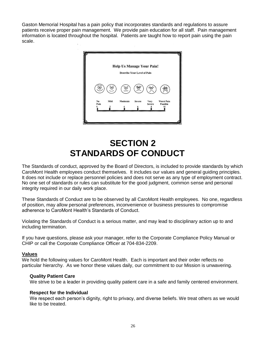Gaston Memorial Hospital has a pain policy that incorporates standards and regulations to assure patients receive proper pain management. We provide pain education for all staff. Pain management information is located throughout the hospital. Patients are taught how to report pain using the pain scale.



# **SECTION 2 STANDARDS OF CONDUCT**

The Standards of conduct, approved by the Board of Directors, is included to provide standards by which CaroMont Health employees conduct themselves. It includes our values and general guiding principles. It does not include or replace personnel policies and does not serve as any type of employment contract. No one set of standards or rules can substitute for the good judgment, common sense and personal integrity required in our daily work place.

These Standards of Conduct are to be observed by all CaroMont Health employees. No one, regardless of position, may allow personal preferences, inconvenience or business pressures to compromise adherence to CaroMont Health's Standards of Conduct.

Violating the Standards of Conduct is a serious matter, and may lead to disciplinary action up to and including termination.

If you have questions, please ask your manager, refer to the Corporate Compliance Policy Manual or CHIP or call the Corporate Compliance Officer at 704-834-2209.

### **Values**

We hold the following values for CaroMont Health. Each is important and their order reflects no particular hierarchy. As we honor these values daily, our commitment to our Mission is unwavering.

### **Quality Patient Care**

We strive to be a leader in providing quality patient care in a safe and family centered environment.

### **Respect for the Individual**

We respect each person's dignity, right to privacy, and diverse beliefs. We treat others as we would like to be treated.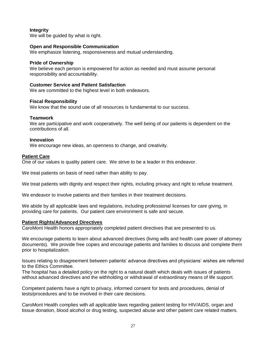### **Integrity**

We will be quided by what is right.

### **Open and Responsible Communication**

We emphasize listening, responsiveness and mutual understanding.

### **Pride of Ownership**

We believe each person is empowered for action as needed and must assume personal responsibility and accountability.

### **Customer Service and Patient Satisfaction**

We are committed to the highest level in both endeavors.

### **Fiscal Responsibility**

We know that the sound use of all resources is fundamental to our success.

### **Teamwork**

We are participative and work cooperatively. The well being of our patients is dependent on the contributions of all.

### **Innovation**

We encourage new ideas, an openness to change, and creativity.

### **Patient Care**

One of our values is quality patient care. We strive to be a leader in this endeavor.

We treat patients on basis of need rather than ability to pay.

We treat patients with dignity and respect their rights, including privacy and right to refuse treatment.

We endeavor to involve patients and their families in their treatment decisions.

We abide by all applicable laws and regulations, including professional licenses for care giving, in providing care for patients. Our patient care environment is safe and secure.

### **Patient Rights/Advanced Directives**

CaroMont Health honors appropriately completed patient directives that are presented to us.

We encourage patients to learn about advanced directives (living wills and health care power of attorney documents). We provide free copies and encourage patients and families to discuss and complete them prior to hospitalization.

Issues relating to disagreement between patients' advance directives and physicians' wishes are referred to the Ethics Committee.

The hospital has a detailed policy on the right to a natural death which deals with issues of patients without advanced directives and the withholding or withdrawal of extraordinary means of life support.

Competent patients have a right to privacy, informed consent for tests and procedures, denial of tests/procedures and to be involved in their care decisions.

CaroMont Health complies with all applicable laws regarding patient testing for HIV/AIDS, organ and tissue donation, blood alcohol or drug testing, suspected abuse and other patient care related matters.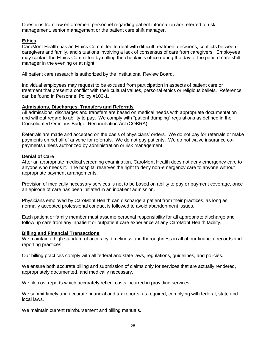Questions from law enforcement personnel regarding patient information are referred to risk management, senior management or the patient care shift manager.

### **Ethics**

CaroMont Health has an Ethics Committee to deal with difficult treatment decisions, conflicts between caregivers and family, and situations involving a lack of consensus of care from caregivers. Employees may contact the Ethics Committee by calling the chaplain's office during the day or the patient care shift manager in the evening or at night.

All patient care research is authorized by the Institutional Review Board.

Individual employees may request to be excused from participation in aspects of patient care or treatment that present a conflict with their cultural values, personal ethics or religious beliefs. Reference can be found in Personnel Policy #106-1.

### **Admissions, Discharges, Transfers and Referrals**

All admissions, discharges and transfers are based on medical needs with appropriate documentation and without regard to ability to pay. We comply with "patient dumping" regulations as defined in the Consolidated Omnibus Budget Reconciliation Act (COBRA).

Referrals are made and accepted on the basis of physicians' orders. We do not pay for referrals or make payments on behalf of anyone for referrals. We do not pay patients. We do not waive insurance copayments unless authorized by administration or risk management.

### **Denial of Care**

After an appropriate medical screening examination, CaroMont Health does not deny emergency care to anyone who needs it. The hospital reserves the right to deny non-emergency care to anyone without appropriate payment arrangements.

Provision of medically necessary services is not to be based on ability to pay or payment coverage, once an episode of care has been initiated in an inpatient admission.

Physicians employed by CaroMont Health can discharge a patient from their practices, as long as normally accepted professional conduct is followed to avoid abandonment issues.

Each patient or family member must assume personal responsibility for all appropriate discharge and follow up care from any inpatient or outpatient care experience at any CaroMont Health facility.

### **Billing and Financial Transactions**

We maintain a high standard of accuracy, timeliness and thoroughness in all of our financial records and reporting practices.

Our billing practices comply with all federal and state laws, regulations, guidelines, and policies.

We ensure both accurate billing and submission of claims only for services that are actually rendered, appropriately documented, and medically necessary.

We file cost reports which accurately reflect costs incurred in providing services.

We submit timely and accurate financial and tax reports, as required, complying with federal, state and local laws.

We maintain current reimbursement and billing manuals.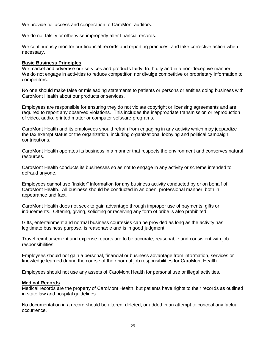We provide full access and cooperation to CaroMont auditors.

We do not falsify or otherwise improperly alter financial records.

We continuously monitor our financial records and reporting practices, and take corrective action when necessary.

### **Basic Business Principles**

We market and advertise our services and products fairly, truthfully and in a non-deceptive manner. We do not engage in activities to reduce competition nor divulge competitive or proprietary information to competitors.

No one should make false or misleading statements to patients or persons or entities doing business with CaroMont Health about our products or services.

Employees are responsible for ensuring they do not violate copyright or licensing agreements and are required to report any observed violations. This includes the inappropriate transmission or reproduction of video, audio, printed matter or computer software programs.

CaroMont Health and its employees should refrain from engaging in any activity which may jeopardize the tax exempt status or the organization, including organizational lobbying and political campaign contributions.

CaroMont Health operates its business in a manner that respects the environment and conserves natural resources.

CaroMont Health conducts its businesses so as not to engage in any activity or scheme intended to defraud anyone.

Employees cannot use "insider" information for any business activity conducted by or on behalf of CaroMont Health. All business should be conducted in an open, professional manner, both in appearance and fact.

CaroMont Health does not seek to gain advantage through improper use of payments, gifts or inducements. Offering, giving, soliciting or receiving any form of bribe is also prohibited.

Gifts, entertainment and normal business courtesies can be provided as long as the activity has legitimate business purpose, is reasonable and is in good judgment.

Travel reimbursement and expense reports are to be accurate, reasonable and consistent with job responsibilities.

Employees should not gain a personal, financial or business advantage from information, services or knowledge learned during the course of their normal job responsibilities for CaroMont Health.

Employees should not use any assets of CaroMont Health for personal use or illegal activities.

### **Medical Records**

Medical records are the property of CaroMont Health, but patients have rights to their records as outlined in state law and hospital guidelines.

No documentation in a record should be altered, deleted, or added in an attempt to conceal any factual occurrence.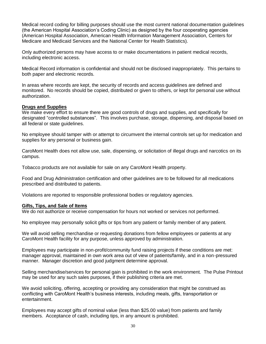Medical record coding for billing purposes should use the most current national documentation guidelines (the American Hospital Association's Coding Clinic) as designed by the four cooperating agencies (American Hospital Association, American Health Information Management Association, Centers for Medicare and Medicaid Services and the National Center for Health Statistics).

Only authorized persons may have access to or make documentations in patient medical records, including electronic access.

Medical Record information is confidential and should not be disclosed inappropriately. This pertains to both paper and electronic records.

In areas where records are kept, the security of records and access guidelines are defined and monitored. No records should be copied, distributed or given to others, or kept for personal use without authorization.

### **Drugs and Supplies**

We make every effort to ensure there are good controls of drugs and supplies, and specifically for designated "controlled substances". This involves purchase, storage, dispensing, and disposal based on all federal or state guidelines.

No employee should tamper with or attempt to circumvent the internal controls set up for medication and supplies for any personal or business gain.

CaroMont Health does not allow use, sale, dispensing, or solicitation of illegal drugs and narcotics on its campus.

Tobacco products are not available for sale on any CaroMont Health property.

Food and Drug Administration certification and other guidelines are to be followed for all medications prescribed and distributed to patients.

Violations are reported to responsible professional bodies or regulatory agencies.

### **Gifts, Tips, and Sale of Items**

We do not authorize or receive compensation for hours not worked or services not performed.

No employee may personally solicit gifts or tips from any patient or family member of any patient.

We will avoid selling merchandise or requesting donations from fellow employees or patients at any CaroMont Health facility for any purpose, unless approved by administration.

Employees may participate in non-profit/community fund raising projects if these conditions are met: manager approval, maintained in own work area out of view of patients/family, and in a non-pressured manner. Manager discretion and good judgment determine approval.

Selling merchandise/services for personal gain is prohibited in the work environment. The Pulse Printout may be used for any such sales purposes, if their publishing criteria are met.

We avoid soliciting, offering, accepting or providing any consideration that might be construed as conflicting with CaroMont Health's business interests, including meals, gifts, transportation or entertainment.

Employees may accept gifts of nominal value (less than \$25.00 value) from patients and family members. Acceptance of cash, including tips, in any amount is prohibited.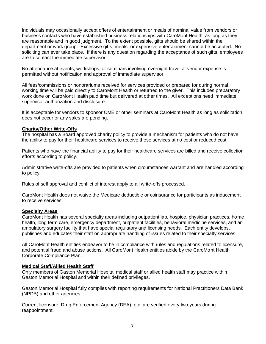Individuals may occasionally accept offers of entertainment or meals of nominal value from vendors or business contacts who have established business relationships with CaroMont Health, as long as they are reasonable and in good judgment. To the extent possible, gifts should be shared within the department or work group. Excessive gifts, meals, or expensive entertainment cannot be accepted. No soliciting can ever take place. If there is any question regarding the acceptance of such gifts, employees are to contact the immediate supervisor.

No attendance at events, workshops, or seminars involving overnight travel at vendor expense is permitted without notification and approval of immediate supervisor.

All fees/commissions or honorariums received for services provided or prepared for during normal working time will be paid directly to CaroMont Health or returned to the giver. This includes preparatory work done on CaroMont Health paid time but delivered at other times. All exceptions need immediate supervisor authorization and disclosure.

It is acceptable for vendors to sponsor CME or other seminars at CaroMont Health as long as solicitation does not occur or any sales are pending.

### **Charity/Other Write-Offs**

The hospital has a Board approved charity policy to provide a mechanism for patients who do not have the ability to pay for their healthcare services to receive these services at no cost or reduced cost.

Patients who have the financial ability to pay for their healthcare services are billed and receive collection efforts according to policy.

Administrative write-offs are provided to patients when circumstances warrant and are handled according to policy.

Rules of self approval and conflict of interest apply to all write-offs processed.

CaroMont Health does not waive the Medicare deductible or coinsurance for participants as inducement to receive services.

### **Specialty Areas**

CaroMont Health has several specialty areas including outpatient lab, hospice, physician practices, home health, long term care, emergency department, outpatient facilities, behavioral medicine services, and an ambulatory surgery facility that have special regulatory and licensing needs. Each entity develops, publishes and educates their staff on appropriate handling of issues related to their specialty services.

All CaroMont Health entities endeavor to be in compliance with rules and regulations related to licensure, and potential fraud and abuse actions. All CaroMont Health entities abide by the CaroMont Health Corporate Compliance Plan.

### **Medical Staff/Allied Health Staff**

Only members of Gaston Memorial Hospital medical staff or allied health staff may practice within Gaston Memorial Hospital and within their defined privileges.

Gaston Memorial Hospital fully complies with reporting requirements for National Practitioners Data Bank (NPDB) and other agencies.

Current licensure, Drug Enforcement Agency (DEA), etc. are verified every two years during reappointment.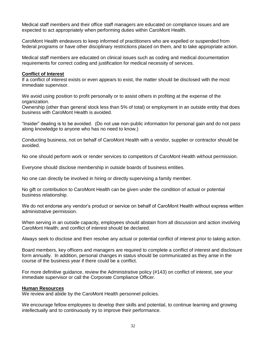Medical staff members and their office staff managers are educated on compliance issues and are expected to act appropriately when performing duties within CaroMont Health.

CaroMont Health endeavors to keep informed of practitioners who are expelled or suspended from federal programs or have other disciplinary restrictions placed on them, and to take appropriate action.

Medical staff members are educated on clinical issues such as coding and medical documentation requirements for correct coding and justification for medical necessity of services.

### **Conflict of Interest**

If a conflict of interest exists or even appears to exist, the matter should be disclosed with the most immediate supervisor.

We avoid using position to profit personally or to assist others in profiting at the expense of the organization.

Ownership (other than general stock less than 5% of total) or employment in an outside entity that does business with CaroMont Health is avoided.

"Insider" dealing is to be avoided. (Do not use non-public information for personal gain and do not pass along knowledge to anyone who has no need to know.)

Conducting business, not on behalf of CaroMont Health with a vendor, supplier or contractor should be avoided.

No one should perform work or render services to competitors of CaroMont Health without permission.

Everyone should disclose membership in outside boards of business entities.

No one can directly be involved in hiring or directly supervising a family member.

No gift or contribution to CaroMont Health can be given under the condition of actual or potential business relationship.

We do not endorse any vendor's product or service on behalf of CaroMont Health without express written administrative permission.

When serving in an outside capacity, employees should abstain from all discussion and action involving CaroMont Health; and conflict of interest should be declared.

Always seek to disclose and then resolve any actual or potential conflict of interest prior to taking action.

Board members, key officers and managers are required to complete a conflict of interest and disclosure form annually. In addition, personal changes in status should be communicated as they arise in the course of the business year if there could be a conflict.

For more definitive guidance, review the Administrative policy (#143) on conflict of interest, see your immediate supervisor or call the Corporate Compliance Officer.

### **Human Resources**

We review and abide by the CaroMont Health personnel policies.

We encourage fellow employees to develop their skills and potential, to continue learning and growing intellectually and to continuously try to improve their performance.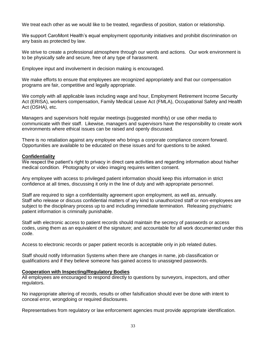We treat each other as we would like to be treated, regardless of position, station or relationship.

We support CaroMont Health's equal employment opportunity initiatives and prohibit discrimination on any basis as protected by law.

We strive to create a professional atmosphere through our words and actions. Our work environment is to be physically safe and secure, free of any type of harassment.

Employee input and involvement in decision making is encouraged.

We make efforts to ensure that employees are recognized appropriately and that our compensation programs are fair, competitive and legally appropriate.

We comply with all applicable laws including wage and hour, Employment Retirement Income Security Act (ERISA), workers compensation, Family Medical Leave Act (FMLA), Occupational Safety and Health Act (OSHA), etc.

Managers and supervisors hold regular meetings (suggested monthly) or use other media to communicate with their staff. Likewise, managers and supervisors have the responsibility to create work environments where ethical issues can be raised and openly discussed.

There is no retaliation against any employee who brings a corporate compliance concern forward. Opportunities are available to be educated on these issues and for questions to be asked.

### **Confidentiality**

We respect the patient's right to privacy in direct care activities and regarding information about his/her medical condition. Photography or video imaging requires written consent.

Any employee with access to privileged patient information should keep this information in strict confidence at all times, discussing it only in the line of duty and with appropriate personnel.

Staff are required to sign a confidentiality agreement upon employment, as well as, annually. Staff who release or discuss confidential matters of any kind to unauthorized staff or non-employees are subject to the disciplinary process up to and including immediate termination. Releasing psychiatric patient information is criminally punishable.

Staff with electronic access to patient records should maintain the secrecy of passwords or access codes, using them as an equivalent of the signature; and accountable for all work documented under this code.

Access to electronic records or paper patient records is acceptable only in job related duties.

Staff should notify Information Systems when there are changes in name, job classification or qualifications and if they believe someone has gained access to unassigned passwords.

### **Cooperation with Inspecting/Regulatory Bodies**

All employees are encouraged to respond directly to questions by surveyors, inspectors, and other regulators.

No inappropriate altering of records, results or other falsification should ever be done with intent to conceal error, wrongdoing or required disclosures.

Representatives from regulatory or law enforcement agencies must provide appropriate identification.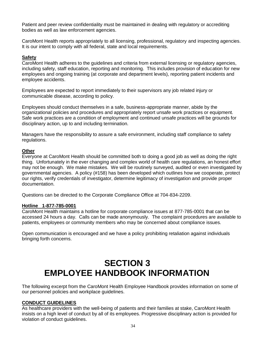Patient and peer review confidentiality must be maintained in dealing with regulatory or accrediting bodies as well as law enforcement agencies.

CaroMont Health reports appropriately to all licensing, professional, regulatory and inspecting agencies. It is our intent to comply with all federal, state and local requirements.

### **Safety**

CaroMont Health adheres to the guidelines and criteria from external licensing or regulatory agencies, including safety, staff education, reporting and monitoring. This includes provision of education for new employees and ongoing training (at corporate and department levels), reporting patient incidents and employee accidents.

Employees are expected to report immediately to their supervisors any job related injury or communicable disease, according to policy.

Employees should conduct themselves in a safe, business-appropriate manner, abide by the organizational policies and procedures and appropriately report unsafe work practices or equipment. Safe work practices are a condition of employment and continued unsafe practices will be grounds for disciplinary action, up to and including termination.

Managers have the responsibility to assure a safe environment, including staff compliance to safety regulations.

### **Other**

Everyone at CaroMont Health should be committed both to doing a good job as well as doing the right thing. Unfortunately in the ever changing and complex world of health care regulations, an honest effort may not be enough. We make mistakes. We will be routinely surveyed, audited or even investigated by governmental agencies. A policy (#158) has been developed which outlines how we cooperate, protect our rights, verify credentials of investigator, determine legitimacy of investigation and provide proper documentation.

Questions can be directed to the Corporate Compliance Office at 704-834-2209.

### **Hotline 1-877-785-0001**

CaroMont Health maintains a hotline for corporate compliance issues at 877-785-0001 that can be accessed 24 hours a day. Calls can be made anonymously. The complaint procedures are available to patients, employees or community members who may be concerned about compliance issues.

Open communication is encouraged and we have a policy prohibiting retaliation against individuals bringing forth concerns.

# **SECTION 3 EMPLOYEE HANDBOOK INFORMATION**

The following excerpt from the CaroMont Health Employee Handbook provides information on some of our personnel policies and workplace guidelines.

### **CONDUCT GUIDELINES**

As healthcare providers with the well-being of patients and their families at stake, CaroMont Health insists on a high level of conduct by all of its employees. Progressive disciplinary action is provided for violation of conduct guidelines.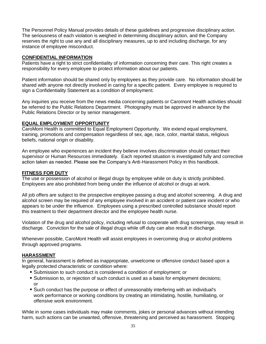The Personnel Policy Manual provides details of these guidelines and progressive disciplinary action. The seriousness of each violation is weighed in determining disciplinary action, and the Company reserves the right to use any and all disciplinary measures, up to and including discharge, for any instance of employee misconduct.

### **CONFIDENTIAL INFORMATION**

Patients have a right to strict confidentiality of information concerning their care. This right creates a responsibility for every employee to protect information about our patients.

Patient information should be shared only by employees as they provide care. No information should be shared with anyone not directly involved in caring for a specific patient. Every employee is required to sign a Confidentiality Statement as a condition of employment.

Any inquiries you receive from the news media concerning patients or Caromont Health activities should be referred to the Public Relations Department. Photography must be approved in advance by the Public Relations Director or by senior management.

### **EQUAL EMPLOYMENT OPPORTUNITY**

CaroMont Health is committed to Equal Employment Opportunity. We extend equal employment, training, promotions and compensation regardless of sex, age, race, color, marital status, religious beliefs, national origin or disability.

An employee who experiences an incident they believe involves discrimination should contact their supervisor or Human Resources immediately. Each reported situation is investigated fully and corrective action taken as needed. Please see the Company's Anti-Harassment Policy in this handbook.

### **FITNESS FOR DUTY**

The use or possession of alcohol or illegal drugs by employee while on duty is strictly prohibited. Employees are also prohibited from being under the influence of alcohol or drugs at work.

All job offers are subject to the prospective employee passing a drug and alcohol screening. A drug and alcohol screen may be required of any employee involved in an accident or patient care incident or who appears to be under the influence. Employees using a prescribed controlled substance should report this treatment to their department director and the employee health nurse.

Violation of the drug and alcohol policy, including refusal to cooperate with drug screenings, may result in discharge. Conviction for the sale of illegal drugs while off duty can also result in discharge.

Whenever possible, CaroMont Health will assist employees in overcoming drug or alcohol problems through approved programs.

### **HARASSMENT**

In general, harassment is defined as inappropriate, unwelcome or offensive conduct based upon a legally protected characteristic or condition where:

- Submission to such conduct is considered a condition of employment; or
- Submission to, or rejection of such conduct is used as a basis for employment decisions; or
- Such conduct has the purpose or effect of unreasonably interfering with an individual's work performance or working conditions by creating an intimidating, hostile, humiliating, or offensive work environment.

While in some cases individuals may make comments, jokes or personal advances without intending harm, such actions can be unwanted, offensive, threatening and perceived as harassment. Stopping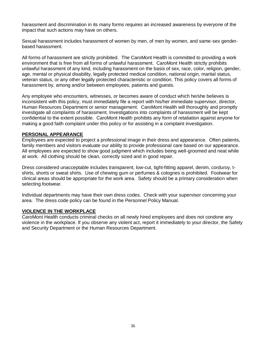harassment and discrimination in its many forms requires an increased awareness by everyone of the impact that such actions may have on others.

Sexual harassment includes harassment of women by men, of men by women, and same-sex genderbased harassment.

All forms of harassment are strictly prohibited. The CaroMont Health is committed to providing a work environment that is free from all forms of unlawful harassment. CaroMont Health strictly prohibits unlawful harassment of any kind, including harassment on the basis of sex, race, color, religion, gender, age, mental or physical disability, legally protected medical condition, national origin, marital status, veteran status, or any other legally protected characteristic or condition. This policy covers all forms of harassment by, among and/or between employees, patients and guests.

Any employee who encounters, witnesses, or becomes aware of conduct which he/she believes is inconsistent with this policy, must immediately file a report with his/her immediate supervisor, director, Human Resources Department or senior management. CaroMont Health will thoroughly and promptly investigate all complaints of harassment. Investigations into complaints of harassment will be kept confidential to the extent possible. CaroMont Health prohibits any form of retaliation against anyone for making a good faith complaint under this policy or for assisting in a complaint investigation.

### **PERSONAL APPEARANCE**

Employees are expected to project a professional image in their dress and appearance. Often patients, family members and visitors evaluate our ability to provide professional care based on our appearance. All employees are expected to show good judgment which includes being well-groomed and neat while at work. All clothing should be clean, correctly sized and in good repair.

Dress considered unacceptable includes transparent, low-cut, tight-fitting apparel, denim, corduroy, tshirts, shorts or sweat shirts. Use of chewing gum or perfumes & colognes is prohibited. Footwear for clinical areas should be appropriate for the work area. Safety should be a primary consideration when selecting footwear.

Individual departments may have their own dress codes. Check with your supervisor concerning your area. The dress code policy can be found in the Personnel Policy Manual.

### **VIOLENCE IN THE WORKPLACE**

CaroMont Health conducts criminal checks on all newly hired employees and does not condone any violence in the workplace. If you observe any violent act, report it immediately to your director, the Safety and Security Department or the Human Resources Department.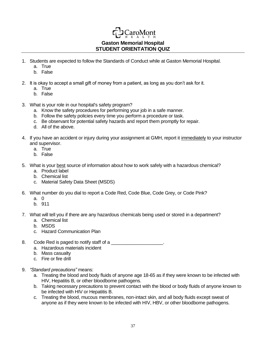# **Gaston Memorial Hospital STUDENT ORIENTATION QUIZ**

**CaroMont** 

- 1. Students are expected to follow the Standards of Conduct while at Gaston Memorial Hospital.
	- a. True
	- b. False
- 2. It is okay to accept a small gift of money from a patient, as long as you don't ask for it.
	- a. True
	- b. False
- 3. What is your role in our hospital's safety program?
	- a. Know the safety procedures for performing your job in a safe manner.
	- b. Follow the safety policies every time you perform a procedure or task.
	- c. Be observant for potential safety hazards and report them promptly for repair.
	- d. All of the above.
- 4. If you have an accident or injury during your assignment at GMH, report it immediately to your instructor and supervisor.
	- a. True
	- b. False
- 5. What is your best source of information about how to work safely with a hazardous chemical?
	- a. Product label
	- b. Chemical list
	- c. Material Safety Data Sheet (MSDS)
- 6. What number do you dial to report a Code Red, Code Blue, Code Grey, or Code Pink?
	- a. 0
	- b. 911
- 7. What will tell you if there are any hazardous chemicals being used or stored in a department?
	- a. Chemical list
	- b. MSDS
	- c. Hazard Communication Plan
- 8. Code Red is paged to notify staff of a  $\blacksquare$ 
	- a. Hazardous materials incident
	- b. Mass casualty
	- c. Fire or fire drill
- 9. *"Standard precautions"* means:
	- a. Treating the blood and body fluids of anyone age 18-65 as if they were known to be infected with HIV, Hepatitis B, or other bloodborne pathogens.
	- b. Taking necessary precautions to prevent contact with the blood or body fluids of anyone known to be infected with HIV or Hepatitis B.
	- c. Treating the blood, mucous membranes, non-intact skin, and all body fluids except sweat of anyone as if they were known to be infected with HIV, HBV, or other bloodborne pathogens.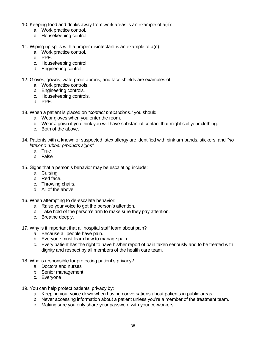- 10. Keeping food and drinks away from work areas is an example of a(n):
	- a. Work practice control.
	- b. Housekeeping control.
- 11. Wiping up spills with a proper disinfectant is an example of  $a(n)$ :
	- a. Work practice control.
	- b. PPE.
	- c. Housekeeping control.
	- d. Engineering control.
- 12. Gloves, gowns, waterproof aprons, and face shields are examples of:
	- a. Work practice controls.
	- b. Engineering controls.
	- c. Housekeeping controls.
	- d. PPE.
- 13. When a patient is placed on *"contact precautions,"* you should:
	- a. Wear gloves when you enter the room.
	- b. Wear a gown if you think you will have substantial contact that might soil your clothing.
	- c. Both of the above.
- 14. Patients with a known or suspected latex allergy are identified with pink armbands, stickers, and *"no latex-no rubber products signs"*.
	- a. True
	- b. False
- 15. Signs that a person's behavior may be escalating include:
	- a. Cursing.
	- b. Red face.
	- c. Throwing chairs.
	- d. All of the above.
- 16. When attempting to de-escalate behavior:
	- a. Raise your voice to get the person's attention.
	- b. Take hold of the person's arm to make sure they pay attention.
	- c. Breathe deeply.
- 17. Why is it important that all hospital staff learn about pain?
	- a. Because all people have pain.
	- b. Everyone must learn how to manage pain.
	- c. Every patient has the right to have his/her report of pain taken seriously and to be treated with dignity and respect by all members of the health care team.
- 18. Who is responsible for protecting patient's privacy?
	- a. Doctors and nurses
	- b. Senior management
	- c. Everyone
- 19. You can help protect patients' privacy by:
	- a. Keeping your voice down when having conversations about patients in public areas.
	- b. Never accessing information about a patient unless you're a member of the treatment team.
	- c. Making sure you only share your password with your co-workers.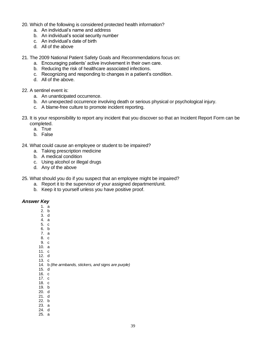- 20. Which of the following is considered protected health information?
	- a. An individual's name and address
	- b. An individual's social security number
	- c. An individual's date of birth
	- d. All of the above
- 21. The 2009 National Patient Safety Goals and Recommendations focus on:
	- a. Encouraging patients' active involvement in their own care.
	- b. Reducing the risk of healthcare associated infections.
	- c. Recognizing and responding to changes in a patient's condition.
	- d. All of the above.

### 22. A sentinel event is:

- a. An unanticipated occurrence.
- b. An unexpected occurrence involving death or serious physical or psychological injury.
- c. A blame-free culture to promote incident reporting.
- 23. It is your responsibility to report any incident that you discover so that an Incident Report Form can be completed.
	- a. True
	- b. False
- 24. What could cause an employee or student to be impaired?
	- a. Taking prescription medicine
	- b. A medical condition
	- c. Using alcohol or illegal drugs
	- d. Any of the above
- 25. What should you do if you suspect that an employee might be impaired?
	- a. Report it to the supervisor of your assigned department/unit.
	- b. Keep it to yourself unless you have positive proof.

### *Answer Key*

- 1. a
- 2. b 3. d
- 4. a
- 5. c
- 6. b
- 7. a
- 8. c
- 9. c 10. a
- 11. c
- 12. d
- 13. c
- 14. b *(the armbands, stickers, and signs are purple)*
- 15. d
- 16. c
- 17. c 18. c
- 19. b
- 20. d
- 21. d
- 22. b
- 23. a 24. d
- 25. a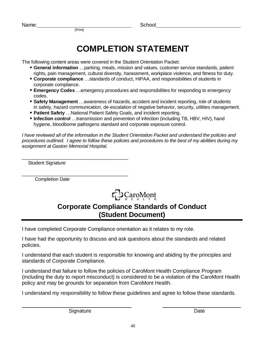# **COMPLETION STATEMENT**

The following content areas were covered in the Student Orientation Packet:

(Print)

- **General information** …parking, meals, mission and values, customer service standards, patient rights, pain management, cultural diversity, harassment, workplace violence, and fitness for duty.
- **Corporate compliance** …standards of conduct, HIPAA, and responsibilities of students in corporate compliance.
- **Emergency Codes** ... emergency procedures and responsibilities for responding to emergency codes.
- **Safety Management** …awareness of hazards, accident and incident reporting, role of students in safety, hazard communication, de-escalation of negative behavior, security, utilities management.
- **Patient Safety** …National Patient Safety Goals, and incident reporting.
- **Infection control** …transmission and prevention of infection (including TB, HBV, HIV), hand hygiene, bloodborne pathogens standard and corporate exposure control.

*I have reviewed all of the information in the Student Orientation Packet and understand the policies and procedures outlined. I agree to follow these policies and procedures to the best of my abilities during my assignment at Gaston Memorial Hospital.*

\_\_\_\_\_\_\_\_\_\_\_\_\_\_\_\_\_\_\_\_\_\_\_\_\_\_\_\_\_\_\_\_\_\_\_\_\_\_\_\_\_ Student Signature

\_\_\_\_\_\_\_\_\_\_\_\_\_\_\_\_\_\_\_\_\_\_\_\_\_\_\_\_\_\_\_\_\_\_\_\_\_\_\_\_\_ Completion Date



# **Corporate Compliance Standards of Conduct (Student Document)**

I have completed Corporate Compliance orientation as it relates to my role.

I have had the opportunity to discuss and ask questions about the standards and related policies.

I understand that each student is responsible for knowing and abiding by the principles and standards of Corporate Compliance.

I understand that failure to follow the policies of CaroMont Health Compliance Program (including the duty to report misconduct) is considered to be a violation of the CaroMont Health policy and may be grounds for separation from CaroMont Health.

I understand my responsibility to follow these guidelines and agree to follow these standards.

Signature Date Date